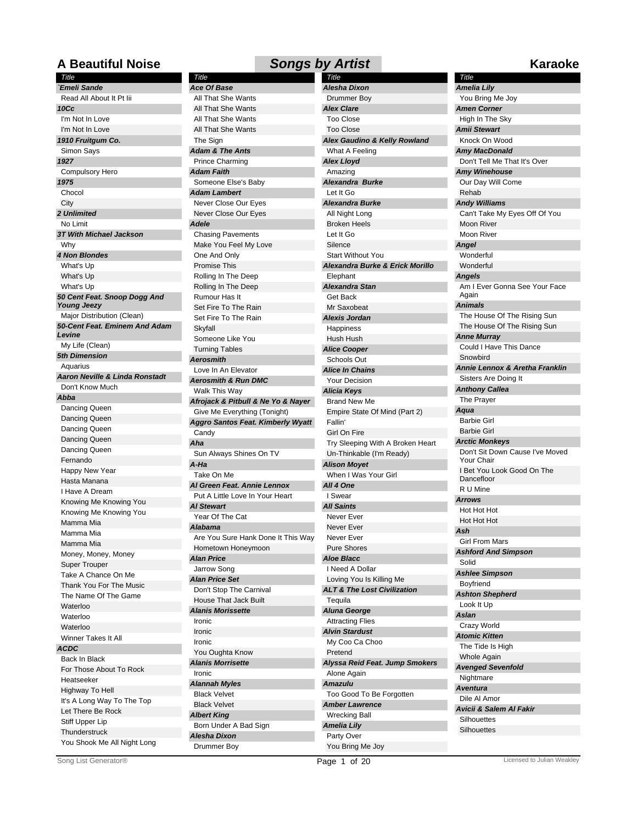## *Title `Emeli Sande* Read All About It Pt Iii *10Cc* I'm Not In Love I'm Not In Love *1910 Fruitgum Co.* Simon Says *1927* Compulsory Hero *1975* Chocol **City** *2 Unlimited* No Limit *3T With Michael Jackson* Why *4 Non Blondes* What's Up What's Up What's Up *50 Cent Feat. Snoop Dogg And Young Jeezy* Major Distribution (Clean) *50-Cent Feat. Eminem And Adam Levine* My Life (Clean) *5th Dimension* Aquarius *Aaron Neville & Linda Ronstadt* Don't Know Much *Abba* Dancing Queen Dancing Queen Dancing Queen Dancing Queen Dancing Queen Fernando Happy New Year Hasta Manana I Have A Dream Knowing Me Knowing You Knowing Me Knowing You Mamma Mia Mamma Mia Mamma Mia Money, Money, Money Super Trouper Take A Chance On Me Thank You For The Music The Name Of The Game Waterloo Waterloo Waterloo Winner Takes It All *ACDC* Back In Black For Those About To Rock Heatseeker Highway To Hell It's A Long Way To The Top Let There Be Rock Stiff Upper Lip **Thunderstruck** You Shook Me All Night Long

All That She Wants All That She Wants All That She Wants The Sign Never Close Our Eyes Make You Feel My Love One And Only Promise This Rolling In The Deep Rolling In The Deep Rumour Has It Set Fire To The Rain Set Fire To The Rain **Skyfall** Someone Like You Turning Tables Hometown Honeymoon House That Jack Built Ironic Ironic You Oughta Know Black Velvet *Title Ace Of Base* All That She Wants *Adam & The Ants* Prince Charming *Adam Faith* Someone Else's Baby *Adam Lambert* Never Close Our Eyes *Adele* Chasing Pavements *Aerosmith* Love In An Elevator *Aerosmith & Run DMC* Walk This Way *Afrojack & Pitbull & Ne Yo & Nayer* Give Me Everything (Tonight) *Aggro Santos Feat. Kimberly Wyatt* **Candy** *Aha* Sun Always Shines On TV *A-Ha* Take On Me *Al Green Feat. Annie Lennox* Put A Little Love In Your Heart *Al Stewart* Year Of The Cat *Alabama* Are You Sure Hank Done It This Way *Alan Price* Jarrow Song *Alan Price Set* Don't Stop The Carnival *Alanis Morissette* Ironic *Alanis Morrisette* Ironic *Alannah Myles* Black Velvet *Albert King* Born Under A Bad Sign *Alesha Dixon* Drummer Boy

## Too Close Broken Heels Let It Go Silence Start Without You Mr Saxobeat Hush Hush Empire State Of Mind (Part 2) Fallin' Girl On Fire Try Sleeping With A Broken Heart Un-Thinkable (I'm Ready) Never Ever Never Ever Pure Shores Loving You Is Killing Me Pretend You Bring Me Joy *Title Alesha Dixon* Drummer Boy *Alex Clare* Too Close *Alex Gaudino & Kelly Rowland* What A Feeling *Alex Lloyd* Amazing *Alexandra Burke* Let It Go *Alexandra Burke* All Night Long *Alexandra Burke & Erick Morillo* Elephant *Alexandra Stan* Get Back *Alexis Jordan* **Happiness** *Alice Cooper* Schools Out *Alice In Chains* Your Decision *Alicia Keys* Brand New Me *Alison Moyet* When I Was Your Girl *All 4 One* I Swear *All Saints* Never Ever *Aloe Blacc* I Need A Dollar *ALT & The Lost Civilization* **Tequila** *Aluna George* Attracting Flies *Alvin Stardust* My Coo Ca Choo *Alyssa Reid Feat. Jump Smokers* Alone Again *Amazulu* Too Good To Be Forgotten *Amber Lawrence* Wrecking Ball *Amelia Lily* Party Over

Rehab Moon River Moon River **Wonderful** The House Of The Rising Sun **Snowbird** Barbie Girl I Bet You Look Good On The Dancefloor R U Mine Hot Hot Hot Whole Again **Silhouettes** *Title Amelia Lily* You Bring Me Joy *Amen Corner* High In The Sky *Amii Stewart* Knock On Wood *Amy MacDonald* Don't Tell Me That It's Over *Amy Winehouse* Our Day Will Come *Andy Williams* Can't Take My Eyes Off Of You *Angel* Wonderful *Angels* Am I Ever Gonna See Your Face Again *Animals* The House Of The Rising Sun *Anne Murray* Could I Have This Dance *Annie Lennox & Aretha Franklin* Sisters Are Doing It *Anthony Callea* The Prayer *Aqua* Barbie Girl *Arctic Monkeys* Don't Sit Down Cause I've Moved Your Chair *Arrows* Hot Hot Hot *Ash* Girl From Mars *Ashford And Simpson* Solid *Ashlee Simpson* Boyfriend *Ashton Shepherd* Look It Up *Aslan* Crazy World *Atomic Kitten* The Tide Is High *Avenged Sevenfold* Nightmare *Aventura* Dile Al Amor *Avicii & Salem Al Fakir* **Silhouettes**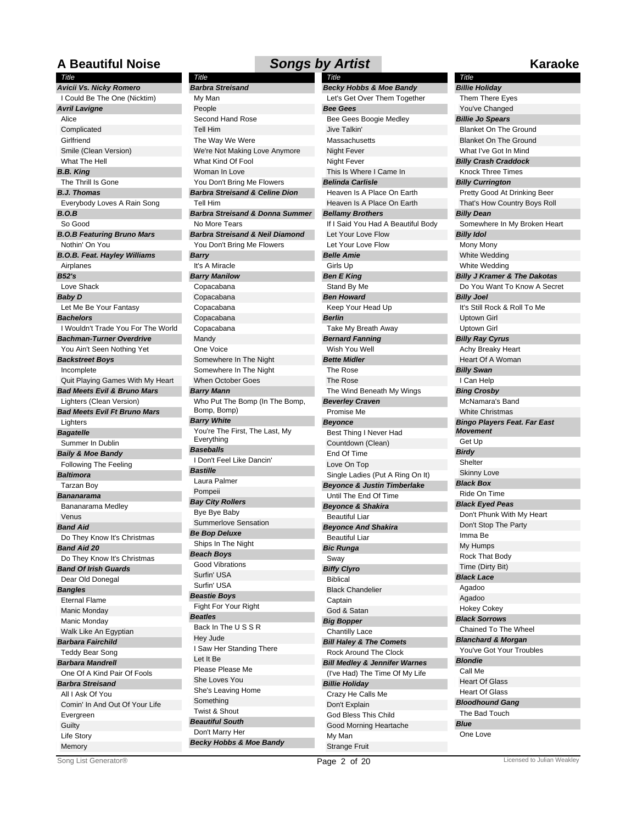## *Title Avicii Vs. Nicky Romero* I Could Be The One (Nicktim) *Avril Lavigne* Alice Complicated **Girlfriend** Smile (Clean Version) What The Hell *B.B. King* The Thrill Is Gone *B.J. Thomas* Everybody Loves A Rain Song *B.O.B* So Good *B.O.B Featuring Bruno Mars* Nothin' On You *B.O.B. Feat. Hayley Williams* Airplanes *B52's* Love Shack *Baby D* Let Me Be Your Fantasy *Bachelors* I Wouldn't Trade You For The World *Bachman-Turner Overdrive* You Ain't Seen Nothing Yet *Backstreet Boys* Incomplete Quit Playing Games With My Heart *Bad Meets Evil & Bruno Mars* Lighters (Clean Version) *Bad Meets Evil Ft Bruno Mars* **Lighters** *Bagatelle* Summer In Dublin *Baily & Moe Bandy* Following The Feeling *Baltimora* Tarzan Boy *Bananarama* Bananarama Medley Venus *Band Aid* Do They Know It's Christmas *Band Aid 20* Do They Know It's Christmas *Band Of Irish Guards* Dear Old Donegal *Bangles* Eternal Flame Manic Monday Manic Monday Walk Like An Egyptian *Barbara Fairchild* Teddy Bear Song *Barbara Mandrell* One Of A Kind Pair Of Fools *Barbra Streisand* All I Ask Of You Comin' In And Out Of Your Life Evergreen **Guilty** Life Story

## People Second Hand Rose Tell Him The Way We Were We're Not Making Love Anymore What Kind Of Fool Woman In Love You Don't Bring Me Flowers Copacabana Copacabana Copacabana Copacabana Mandy One Voice Somewhere In The Night Somewhere In The Night When October Goes Pompeii Summerlove Sensation Surfin' USA Surfin' USA Hey Jude I Saw Her Standing There Let It Be Please Please Me She Loves You She's Leaving Home Something Twist & Shout *Title Barbra Streisand* My Man *Barbra Streisand & Celine Dion* Tell Him *Barbra Streisand & Donna Summer* No More Tears *Barbra Streisand & Neil Diamond* You Don't Bring Me Flowers *Barry* It's A Miracle *Barry Manilow* Copacabana *Barry Mann* Who Put The Bomp (In The Bomp, Bomp, Bomp) *Barry White* You're The First, The Last, My Everything *Baseballs* I Don't Feel Like Dancin' *Bastille* Laura Palmer *Bay City Rollers* Bye Bye Baby *Be Bop Deluxe* Ships In The Night *Beach Boys* Good Vibrations *Beastie Boys* Fight For Your Right *Beatles* Back In The U S S R *Beautiful South* Don't Marry Her *Becky Hobbs & Moe Bandy*

## Jive Talkin' **Massachusetts** Night Fever Night Fever This Is Where I Came In Heaven Is A Place On Earth Let Your Love Flow Let Your Love Flow The Rose The Wind Beneath My Wings Countdown (Clean) End Of Time Love On Top Single Ladies (Put A Ring On It) Black Chandelier **Captain** God & Satan Don't Explain God Bless This Child Good Morning Heartache My Man Strange Fruit **A Beautiful Noise** *Songs by Artist* **Karaoke** *Title Becky Hobbs & Moe Bandy* Let's Get Over Them Together *Bee Gees* Bee Gees Boogie Medley *Belinda Carlisle* Heaven Is A Place On Earth *Bellamy Brothers* If I Said You Had A Beautiful Body *Belle Amie* Girls Up *Ben E King* Stand By Me *Ben Howard* Keep Your Head Up *Berlin* Take My Breath Away *Bernard Fanning* Wish You Well *Bette Midler* The Rose *Beverley Craven* Promise Me *Beyonce* Best Thing I Never Had *Beyonce & Justin Timberlake* Until The End Of Time *Beyonce & Shakira* Beautiful Liar *Beyonce And Shakira* Beautiful Liar *Bic Runga* Sway *Biffy Clyro* Biblical *Big Bopper* Chantilly Lace *Bill Haley & The Comets* Rock Around The Clock *Bill Medley & Jennifer Warnes* (I've Had) The Time Of My Life *Billie Holiday* Crazy He Calls Me

You've Changed Blanket On The Ground What I've Got In Mind That's How Country Boys Roll White Wedding White Wedding Uptown Girl Uptown Girl Heart Of A Woman White Christmas Skinny Love Don't Stop The Party Imma Be My Humps Rock That Body Time (Dirty Bit) Agadoo Hokey Cokey Heart Of Glass Heart Of Glass *Title Billie Holiday* Them There Eyes *Billie Jo Spears* Blanket On The Ground *Billy Crash Craddock* Knock Three Times *Billy Currington* Pretty Good At Drinking Beer *Billy Dean* Somewhere In My Broken Heart *Billy Idol* Mony Mony *Billy J Kramer & The Dakotas* Do You Want To Know A Secret *Billy Joel* It's Still Rock & Roll To Me *Billy Ray Cyrus* Achy Breaky Heart *Billy Swan* I Can Help *Bing Crosby* McNamara's Band *Bingo Players Feat. Far East Movement* Get Up *Birdy* Shelter *Black Box* Ride On Time *Black Eyed Peas* Don't Phunk With My Heart *Black Lace* Agadoo *Black Sorrows* Chained To The Wheel *Blanchard & Morgan* You've Got Your Troubles *Blondie* Call Me *Bloodhound Gang* The Bad Touch *Blue* One Love

Memory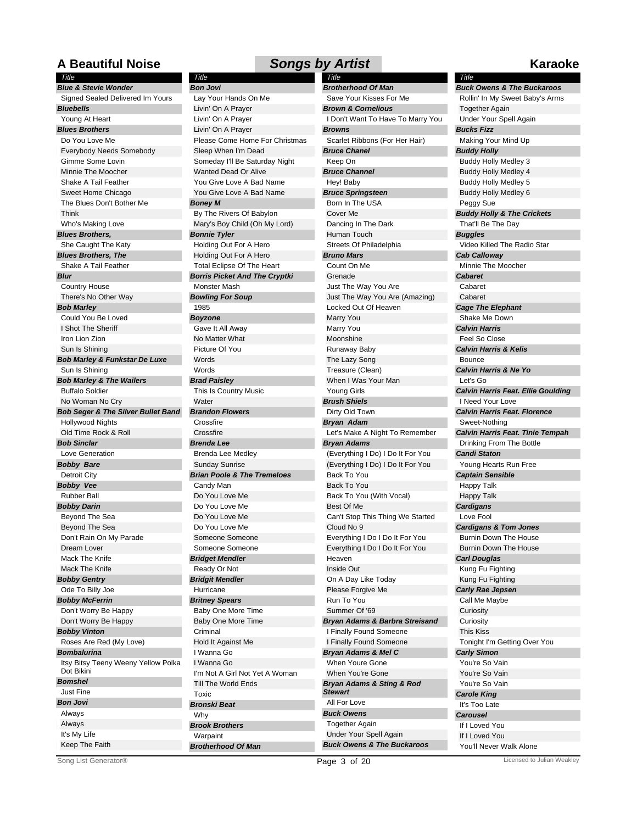## *Title Blue & Stevie Wonder* Signed Sealed Delivered Im Yours *Bluebells* Young At Heart *Blues Brothers* Do You Love Me Everybody Needs Somebody Gimme Some Lovin Minnie The Moocher Shake A Tail Feather Sweet Home Chicago The Blues Don't Bother Me Think Who's Making Love *Blues Brothers,* She Caught The Katy *Blues Brothers, The* Shake A Tail Feather *Blur* Country House There's No Other Way *Bob Marley* Could You Be Loved I Shot The Sheriff Iron Lion Zion Sun Is Shining *Bob Marley & Funkstar De Luxe* Sun Is Shining *Bob Marley & The Wailers* Buffalo Soldier No Woman No Cry *Bob Seger & The Silver Bullet Band* Hollywood Nights Old Time Rock & Roll *Bob Sinclar* Love Generation *Bobby Bare* Detroit City *Bobby Vee* Rubber Ball *Bobby Darin* Beyond The Sea Beyond The Sea Don't Rain On My Parade Dream Lover Mack The Knife Mack The Knife *Bobby Gentry* Ode To Billy Joe *Bobby McFerrin* Don't Worry Be Happy Don't Worry Be Happy *Bobby Vinton* Roses Are Red (My Love) *Bombalurina* Itsy Bitsy Teeny Weeny Yellow Polka Dot Bikini *Bomshel* Just Fine *Bon Jovi* Always Always It's My Life

## Livin' On A Prayer Livin' On A Prayer Livin' On A Prayer Please Come Home For Christmas Sleep When I'm Dead Someday I'll Be Saturday Night Wanted Dead Or Alive You Give Love A Bad Name You Give Love A Bad Name Mary's Boy Child (Oh My Lord) Holding Out For A Hero Total Eclipse Of The Heart No Matter What Picture Of You Words Words Water **Crossfire** Sunday Sunrise Do You Love Me Do You Love Me Do You Love Me Do You Love Me Someone Someone Someone Someone Baby One More Time Criminal Hold It Against Me I Wanna Go I Wanna Go I'm Not A Girl Not Yet A Woman Till The World Ends Toxic *Title Bon Jovi* Lay Your Hands On Me *Boney M* By The Rivers Of Babylon *Bonnie Tyler* Holding Out For A Hero *Borris Picket And The Cryptki* Monster Mash *Bowling For Soup* 1985 *Boyzone* Gave It All Away *Brad Paisley* This Is Country Music *Brandon Flowers* **Crossfire** *Brenda Lee* Brenda Lee Medley *Brian Poole & The Tremeloes* Candy Man *Bridget Mendler* Ready Or Not *Bridgit Mendler* Hurricane *Britney Spears* Baby One More Time *Bronski Beat* Why *Brook Brothers* Warpaint *Brotherhood Of Man*

### Cover Me Dancing In The Dark Human Touch Streets Of Philadelphia Grenade Just The Way You Are Just The Way You Are (Amazing) Locked Out Of Heaven Marry You Marry You Moonshine Runaway Baby The Lazy Song Treasure (Clean) When I Was Your Man Young Girls (Everything I Do) I Do It For You Back To You Back To You Back To You (With Vocal) Best Of Me Can't Stop This Thing We Started Cloud No 9 Everything I Do I Do It For You Everything I Do I Do It For You Heaven Inside Out On A Day Like Today Please Forgive Me Run To You Summer Of '69 I Finally Found Someone When You're Gone Under Your Spell Again *Title Brotherhood Of Man* Save Your Kisses For Me *Brown & Cornelious* I Don't Want To Have To Marry You *Browns* Scarlet Ribbons (For Her Hair) *Bruce Chanel* Keep On *Bruce Channel* Hey! Baby *Bruce Springsteen* Born In The USA *Bruno Mars* Count On Me *Brush Shiels* Dirty Old Town *Bryan Adam* Let's Make A Night To Remember *Bryan Adams* (Everything I Do) I Do It For You *Bryan Adams & Barbra Streisand* I Finally Found Someone *Bryan Adams & Mel C* When Youre Gone *Bryan Adams & Sting & Rod Stewart* All For Love *Buck Owens* Together Again *Buck Owens & The Buckaroos Title*

**Together Again** Under Your Spell Again Buddy Holly Medley 4 Buddy Holly Medley 5 Buddy Holly Medley 6 Peggy Sue Cabaret Happy Talk Burnin Down The House Kung Fu Fighting **Curiosity** Curiosity This Kiss Tonight I'm Getting Over You You're So Vain You're So Vain If I Loved You You'll Never Walk Alone *Buck Owens & The Buckaroos* Rollin' In My Sweet Baby's Arms *Bucks Fizz* Making Your Mind Up *Buddy Holly* Buddy Holly Medley 3 *Buddy Holly & The Crickets* That'll Be The Day *Buggles* Video Killed The Radio Star *Cab Calloway* Minnie The Moocher *Cabaret* Cabaret *Cage The Elephant* Shake Me Down *Calvin Harris* Feel So Close *Calvin Harris & Kelis* Bounce *Calvin Harris & Ne Yo* Let's Go *Calvin Harris Feat. Ellie Goulding* I Need Your Love *Calvin Harris Feat. Florence* Sweet-Nothing *Calvin Harris Feat. Tinie Tempah* Drinking From The Bottle *Candi Staton* Young Hearts Run Free *Captain Sensible* Happy Talk *Cardigans* Love Fool *Cardigans & Tom Jones* Burnin Down The House *Carl Douglas* Kung Fu Fighting *Carly Rae Jepsen* Call Me Maybe *Carly Simon* You're So Vain *Carole King* It's Too Late *Carousel* If I Loved You

Keep The Faith

Song List Generator® 20 20 20 Licensed to Julian Weakley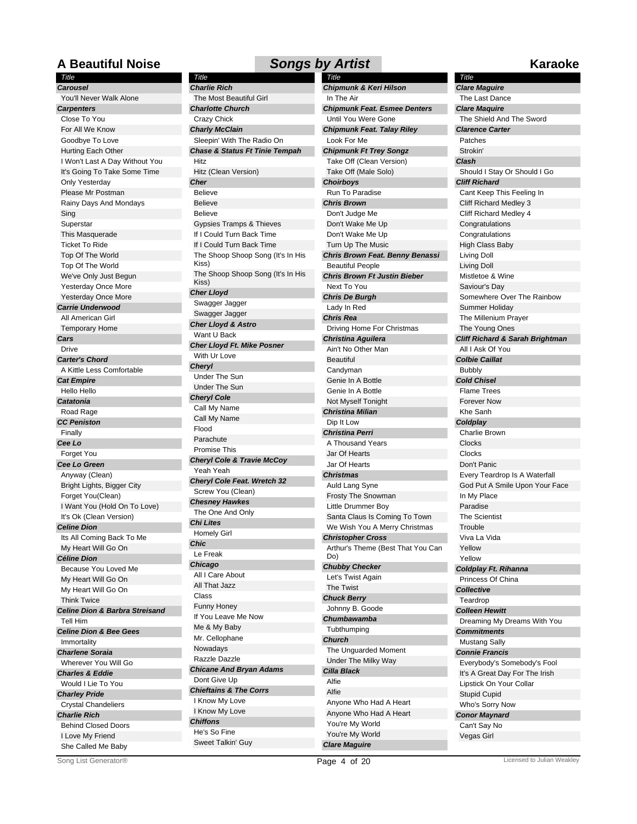## *Title Carousel* You'll Never Walk Alone *Carpenters* Close To You For All We Know Goodbye To Love Hurting Each Other I Won't Last A Day Without You It's Going To Take Some Time Only Yesterday Please Mr Postman Rainy Days And Mondays Sing Superstar This Masquerade Ticket To Ride Top Of The World Top Of The World We've Only Just Begun Yesterday Once More Yesterday Once More *Carrie Underwood* All American Girl Temporary Home *Cars* Drive *Carter's Chord* A Kittle Less Comfortable *Cat Empire* Hello Hello *Catatonia* Road Rage *CC Peniston* Finally *Cee Lo* Forget You *Cee Lo Green* Anyway (Clean) Bright Lights, Bigger City Forget You(Clean) I Want You (Hold On To Love) It's Ok (Clean Version) *Celine Dion* Its All Coming Back To Me My Heart Will Go On *Céline Dion* Because You Loved Me My Heart Will Go On My Heart Will Go On Think Twice *Celine Dion & Barbra Streisand* Tell Him *Celine Dion & Bee Gees* Immortality *Charlene Soraia* Wherever You Will Go *Charles & Eddie* Would I Lie To You *Charley Pride* Crystal Chandeliers *Charlie Rich* Behind Closed Doors I Love My Friend

## Hitz (Clean Version) Believe Believe Gypsies Tramps & Thieves If I Could Turn Back Time If I Could Turn Back Time The Shoop Shoop Song (It's In His Kiss) The Shoop Shoop Song (It's In His Kiss) Swagger Jagger Under The Sun Call My Name Flood Parachute Promise This All That Jazz Class Funny Honey If You Leave Me Now Me & My Baby Mr. Cellophane Nowadays Razzle Dazzle I Know My Love Sweet Talkin' Guy *Title Charlie Rich* The Most Beautiful Girl *Charlotte Church* Crazy Chick *Charly McClain* Sleepin' With The Radio On *Chase & Status Ft Tinie Tempah* Hitz *Cher* Believe *Cher Lloyd* Swagger Jagger *Cher Lloyd & Astro* Want U Back *Cher Lloyd Ft. Mike Posner* With Ur Love *Cheryl* Under The Sun *Cheryl Cole* Call My Name *Cheryl Cole & Travie McCoy* Yeah Yeah *Cheryl Cole Feat. Wretch 32* Screw You (Clean) *Chesney Hawkes* The One And Only *Chi Lites* Homely Girl *Chic* Le Freak *Chicago* All I Care About *Chicane And Bryan Adams* Dont Give Up *Chieftains & The Corrs* I Know My Love *Chiffons* He's So Fine

## Take Off (Male Solo) Don't Wake Me Up Don't Wake Me Up Turn Up The Music Beautiful Candyman Genie In A Bottle Genie In A Bottle Not Myself Tonight Jar Of Hearts Jar Of Hearts Frosty The Snowman Little Drummer Boy Santa Claus Is Coming To Town We Wish You A Merry Christmas The Twist Under The Milky Way Alfie Anyone Who Had A Heart Anyone Who Had A Heart You're My World You're My World *Title Chipmunk & Keri Hilson* In The Air *Chipmunk Feat. Esmee Denters* Until You Were Gone *Chipmunk Feat. Talay Riley* Look For Me *Chipmunk Ft Trey Songz* Take Off (Clean Version) *Choirboys* Run To Paradise *Chris Brown* Don't Judge Me *Chris Brown Feat. Benny Benassi* Beautiful People *Chris Brown Ft Justin Bieber* Next To You *Chris De Burgh* Lady In Red *Chris Rea* Driving Home For Christmas *Christina Aguilera* Ain't No Other Man *Christina Milian* Dip It Low *Christina Perri* A Thousand Years *Christmas* Auld Lang Syne *Christopher Cross* Arthur's Theme (Best That You Can Do) *Chubby Checker* Let's Twist Again *Chuck Berry* Johnny B. Goode *Chumbawamba* **Tubthumping** *Church* The Unguarded Moment *Cilla Black* Alfie *Clare Maguire*

Strokin' Cliff Richard Medley 3 Cliff Richard Medley 4 Congratulations **Congratulations** High Class Baby Living Doll Living Doll Mistletoe & Wine Saviour's Day Somewhere Over The Rainbow Summer Holiday The Millenium Prayer The Young Ones Forever Now Khe Sanh Clocks Clocks Don't Panic Every Teardrop Is A Waterfall God Put A Smile Upon Your Face In My Place Paradise The Scientist **Trouble** Viva La Vida Yellow Yellow It's A Great Day For The Irish Lipstick On Your Collar Stupid Cupid Who's Sorry Now Vegas Girl *Title Clare Maguire* The Last Dance *Clare Maquire* The Shield And The Sword *Clarence Carter* Patches *Clash* Should I Stay Or Should I Go *Cliff Richard* Cant Keep This Feeling In *Cliff Richard & Sarah Brightman* All I Ask Of You *Colbie Caillat* Bubbly *Cold Chisel* Flame Trees *Coldplay* Charlie Brown *Coldplay Ft. Rihanna* Princess Of China *Collective* Teardrop *Colleen Hewitt* Dreaming My Dreams With You *Commitments* Mustang Sally *Connie Francis* Everybody's Somebody's Fool *Conor Maynard* Can't Say No

She Called Me Baby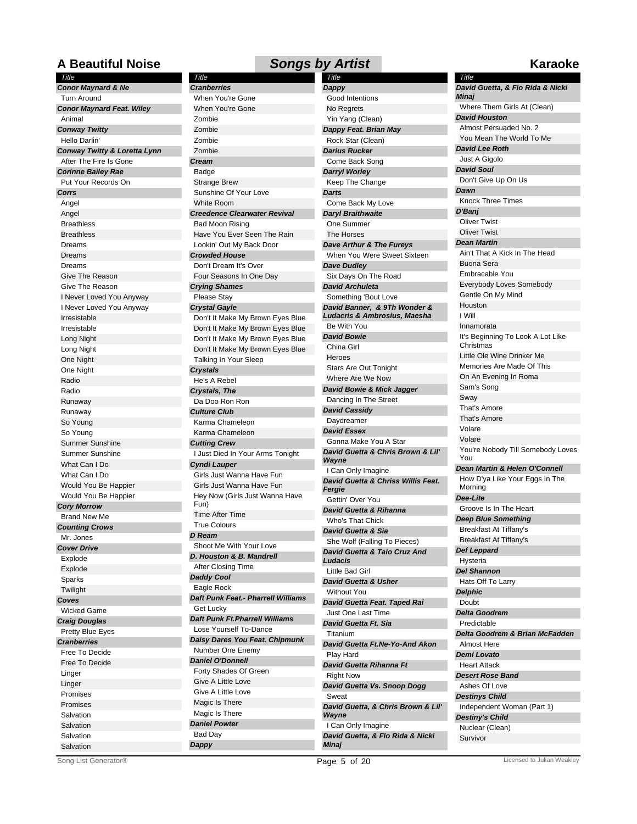| Title                                                  |
|--------------------------------------------------------|
| Conor Maynard & Ne                                     |
| Turn Around                                            |
| <b>Conor Maynard Feat. Wiley</b>                       |
| Animal                                                 |
| <b>Conway Twitty</b>                                   |
| Hello Darlin'                                          |
| Conway Twitty & Loretta Lynn<br>After The Fire Is Gone |
| <b>Corinne Bailey Rae</b>                              |
| Put Your Records On                                    |
| Corrs                                                  |
| Angel                                                  |
| Angel                                                  |
| <b>Breathless</b>                                      |
| <b>Breathless</b>                                      |
| Dreams                                                 |
| Dreams                                                 |
| Dreams                                                 |
| Give The Reason                                        |
| Give The Reason                                        |
| I Never Loved You Anyway                               |
| I Never Loved You Anyway                               |
| Irresistable                                           |
| Irresistable                                           |
| Long Night                                             |
| Long Night                                             |
| One Night                                              |
| One Night                                              |
| Radio                                                  |
| Radio                                                  |
| Runaway                                                |
| Runaway                                                |
| So Young                                               |
| So Young                                               |
| <b>Summer Sunshine</b><br>Summer Sunshine              |
| What Can I Do                                          |
| What Can I Do                                          |
| Would You Be Happier                                   |
| Would You Be Happier                                   |
| <b>Cory Morrow</b>                                     |
| <b>Brand New Me</b>                                    |
| <b>Counting Crows</b>                                  |
| Mr. Jones                                              |
| <b>Cover Drive</b>                                     |
| Explode                                                |
| Explode                                                |
| Sparks                                                 |
| Twilight                                               |
| Coves                                                  |
| <b>Wicked Game</b>                                     |
| <b>Craig Douglas</b>                                   |
| Pretty Blue Eyes                                       |
| <b>Cranberries</b>                                     |
| Free To Decide                                         |
| Free To Decide                                         |
| Linger                                                 |
| Linger<br>Promises                                     |
| Promises                                               |
| Salvation                                              |
| Salvation                                              |
| Salvation                                              |
| Salvation                                              |

## When You're Gone Zombie Zombie Zombie Zombie Strange Brew Sunshine Of Your Love White Room Have You Ever Seen The Rain Lookin' Out My Back Door Four Seasons In One Day Don't It Make My Brown Eyes Blue Don't It Make My Brown Eyes Blue Don't It Make My Brown Eyes Blue Talking In Your Sleep Karma Chameleon Girls Just Wanna Have Fun Hey Now (Girls Just Wanna Have Fun) Time After Time True Colours Give A Little Love Give A Little Love Magic Is There Magic Is There *Title Cranberries* When You're Gone *Cream* **Badge** *Creedence Clearwater Revival* Bad Moon Rising *Crowded House* Don't Dream It's Over *Crying Shames* Please Stay *Crystal Gayle* Don't It Make My Brown Eyes Blue *Crystals* He's A Rebel *Crystals, The* Da Doo Ron Ron *Culture Club* Karma Chameleon *Cutting Crew* I Just Died In Your Arms Tonight *Cyndi Lauper* Girls Just Wanna Have Fun *D Ream* Shoot Me With Your Love *D. Houston & B. Mandrell* After Closing Time *Daddy Cool* Eagle Rock *Daft Punk Feat.- Pharrell Williams* Get Lucky *Daft Punk Ft.Pharrell Williams* Lose Yourself To-Dance *Daisy Dares You Feat. Chipmunk* Number One Enemy *Daniel O'Donnell* Forty Shades Of Green *Daniel Powter* Bad Day *Dappy*

No Regrets Yin Yang (Clean) The Horses Heroes Stars Are Out Tonight Where Are We Now *Title Dappy* Good Intentions *Dappy Feat. Brian May* Rock Star (Clean) *Darius Rucker* Come Back Song *Darryl Worley* Keep The Change *Darts* Come Back My Love *Daryl Braithwaite* One Summer *Dave Arthur & The Fureys* When You Were Sweet Sixteen *Dave Dudley* Six Days On The Road *David Archuleta* Something 'Bout Love *David Banner, & 9Th Wonder & Ludacris & Ambrosius, Maesha* Be With You *David Bowie* China Girl *David Bowie & Mick Jagger* Dancing In The Street *David Cassidy* Daydreamer *David Essex* Gonna Make You A Star *David Guetta & Chris Brown & Lil' Wayne* I Can Only Imagine *David Guetta & Chriss Willis Feat. Fergie* Gettin' Over You *David Guetta & Rihanna* Who's That Chick *David Guetta & Sia* She Wolf (Falling To Pieces) *David Guetta & Taio Cruz And Ludacis* Little Bad Girl *David Guetta & Usher* Without You *David Guetta Feat. Taped Rai* Just One Last Time *David Guetta Ft. Sia* Titanium *David Guetta Ft.Ne-Yo-And Akon* Play Hard *David Guetta Rihanna Ft* Right Now *David Guetta Vs. Snoop Dogg* Sweat *David Guetta, & Chris Brown & Lil' Wayne* I Can Only Imagine *David Guetta, & Flo Rida & Nicki Minaj*

You Mean The World To Me Oliver Twist Buona Sera Embracable You Everybody Loves Somebody Gentle On My Mind Houston I Will Innamorata It's Beginning To Look A Lot Like Christmas Little Ole Wine Drinker Me Memories Are Made Of This On An Evening In Roma Sam's Song Sway That's Amore That's Amore Volare Volare You're Nobody Till Somebody Loves You Breakfast At Tiffany's Survivor *Title David Guetta, & Flo Rida & Nicki Minaj* Where Them Girls At (Clean) *David Houston* Almost Persuaded No. 2 *David Lee Roth* Just A Gigolo *David Soul* Don't Give Up On Us *Dawn* Knock Three Times *D'Banj* Oliver Twist *Dean Martin* Ain't That A Kick In The Head *Dean Martin & Helen O'Connell* How D'ya Like Your Eggs In The Morning *Dee-Lite* Groove Is In The Heart *Deep Blue Something* Breakfast At Tiffany's *Def Leppard* Hysteria *Del Shannon* Hats Off To Larry *Delphic* Doubt *Delta Goodrem* Predictable *Delta Goodrem & Brian McFadden* Almost Here *Demi Lovato* Heart Attack *Desert Rose Band* Ashes Of Love *Destinys Child* Independent Woman (Part 1) *Destiny's Child* Nuclear (Clean)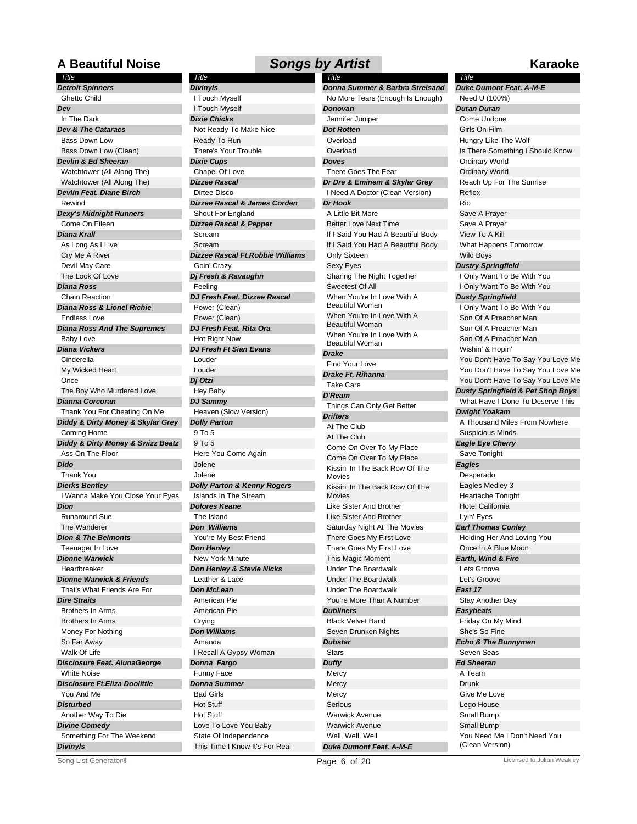| Title                                              |
|----------------------------------------------------|
| <b>Detroit Spinners</b>                            |
| <b>Ghetto Child</b>                                |
| Dev                                                |
| In The Dark                                        |
| <b>Dev &amp; The Cataracs</b>                      |
| <b>Bass Down Low</b>                               |
| Bass Down Low (Clean)                              |
| Devlin & Ed Sheeran                                |
| Watchtower (All Along The)                         |
| Watchtower (All Along The)                         |
| Devlin Feat. Diane Birch<br>Rewind                 |
| <b>Dexy's Midnight Runners</b>                     |
| Come On Eileen                                     |
| <b>Diana Krall</b>                                 |
| As Long As I Live                                  |
| Cry Me A River                                     |
| Devil May Care                                     |
| The Look Of Love                                   |
| <b>Diana Ross</b>                                  |
| <b>Chain Reaction</b>                              |
| Diana Ross & Lionel Richie                         |
| <b>Endless Love</b>                                |
| <b>Diana Ross And The Supremes</b>                 |
| <b>Baby Love</b>                                   |
| <b>Diana Vickers</b>                               |
| Cinderella                                         |
| My Wicked Heart                                    |
| Once                                               |
| The Boy Who Murdered Love                          |
| Dianna Corcoran                                    |
| Thank You For Cheating On Me                       |
|                                                    |
| Diddy & Dirty Money & Skylar Grey                  |
| Coming Home                                        |
| Diddy & Dirty Money & Swizz Beatz                  |
| Ass On The Floor                                   |
| <b>Dido</b>                                        |
| Thank You                                          |
| <b>Dierks Bentley</b>                              |
| I Wanna Make You Close Your Eyes                   |
| <b>Dion</b>                                        |
| Runaround Sue                                      |
| The Wanderer                                       |
| <b>Dion &amp; The Belmonts</b>                     |
| Teenager In Love                                   |
| <b>Dionne Warwick</b>                              |
| Heartbreaker                                       |
| <b>Dionne Warwick &amp; Friends</b>                |
| That's What Friends Are For                        |
| <b>Dire Straits</b>                                |
| <b>Brothers In Arms</b>                            |
| <b>Brothers In Arms</b>                            |
| Money For Nothing                                  |
| So Far Away                                        |
| Walk Of Life                                       |
| <b>Disclosure Feat. AlunaGeorge</b>                |
| <b>White Noise</b>                                 |
| <b>Disclosure Ft.Eliza Doolittle</b><br>You And Me |
| <b>Disturbed</b>                                   |
|                                                    |
| Another Way To Die                                 |
| <b>Divine Comedy</b><br>Something For The Weekend  |

## I Touch Myself Ready To Run There's Your Trouble Scream Power (Clean) Louder 9 To 5 Here You Come Again Jolene Jolene American Pie Crying I Recall A Gypsy Woman Hot Stuff Hot Stuff Love To Love You Baby State Of Independence This Time I Know It's For Real *Title Divinyls* I Touch Myself *Dixie Chicks* Not Ready To Make Nice *Dixie Cups* Chapel Of Love *Dizzee Rascal* Dirtee Disco *Dizzee Rascal & James Corden* Shout For England *Dizzee Rascal & Pepper* Scream *Dizzee Rascal Ft.Robbie Williams* Goin' Crazy *Dj Fresh & Ravaughn* Feeling *DJ Fresh Feat. Dizzee Rascal* Power (Clean) *DJ Fresh Feat. Rita Ora* Hot Right Now *DJ Fresh Ft Sian Evans* Louder *Dj Otzi* Hey Baby *DJ Sammy* Heaven (Slow Version) *Dolly Parton* 9 To 5 *Dolly Parton & Kenny Rogers* Islands In The Stream *Dolores Keane* The Island *Don Williams* You're My Best Friend *Don Henley* New York Minute *Don Henley & Stevie Nicks* Leather & Lace *Don McLean* American Pie *Don Williams* Amanda *Donna Fargo* Funny Face *Donna Summer* Bad Girls

| Title                                                | Title                   |
|------------------------------------------------------|-------------------------|
| Donna Summer & Barbra Streisand                      | <b>Duke Dumont</b>      |
| No More Tears (Enough Is Enough)                     | Need U (100%            |
| Donovan                                              | <b>Duran Duran</b>      |
| Jennifer Juniper                                     | Come Undone             |
| <b>Dot Rotten</b>                                    | Girls On Film           |
| Overload                                             | Hungry Like TI          |
| Overload                                             | Is There Some           |
| <b>Doves</b>                                         | <b>Ordinary World</b>   |
| There Goes The Fear                                  | <b>Ordinary Work</b>    |
| Dr Dre & Eminem & Skylar Grey                        | Reach Up For            |
| I Need A Doctor (Clean Version)                      | Reflex                  |
| <b>Dr Hook</b>                                       | Rio                     |
| A Little Bit More                                    | Save A Prayer           |
| <b>Better Love Next Time</b>                         | Save A Prayer           |
| If I Said You Had A Beautiful Body                   | View To A Kill          |
| If I Said You Had A Beautiful Body                   | What Happens            |
| Only Sixteen                                         | <b>Wild Boys</b>        |
| <b>Sexy Eyes</b>                                     | <b>Dustry Springt</b>   |
| Sharing The Night Together                           | I Only Want To          |
| Sweetest Of All                                      | I Only Want To          |
| When You're In Love With A                           | <b>Dusty Springfi</b>   |
| <b>Beautiful Woman</b>                               | I Only Want To          |
| When You're In Love With A<br><b>Beautiful Woman</b> | Son Of A Prea           |
| When You're In Love With A                           | Son Of A Prea           |
| Beautiful Woman                                      | Son Of A Prea           |
| <b>Drake</b>                                         | Wishin' & Hopi          |
| Find Your Love                                       | You Don't Hav           |
| <b>Drake Ft. Rihanna</b>                             | You Don't Hav           |
| Take Care                                            | You Don't Hav           |
| <b>D'Ream</b>                                        | <b>Dusty Springfi</b>   |
| Things Can Only Get Better                           | What Have I D           |
| <b>Drifters</b>                                      | <b>Dwight Yoakar</b>    |
| At The Club                                          | A Thousand M            |
|                                                      |                         |
|                                                      | <b>Suspicious Mir</b>   |
| At The Club                                          | <b>Eagle Eye Che</b>    |
| Come On Over To My Place                             | Save Tonight            |
| Come On Over To My Place                             | <b>Eagles</b>           |
| Kissin' In The Back Row Of The<br>Movies             | Desperado               |
| Kissin' In The Back Row Of The                       | Eagles Medley           |
| Movies                                               | Heartache Tor           |
| Like Sister And Brother                              | <b>Hotel California</b> |
| Like Sister And Brother                              | Lyin' Eyes              |
| Saturday Night At The Movies                         | <b>Earl Thomas C</b>    |
| There Goes My First Love                             | Holding Her Ar          |
| There Goes My First Love                             | Once In A Blue          |
| <b>This Magic Moment</b>                             | Earth, Wind &           |
| <b>Under The Boardwalk</b>                           | Lets Groove             |
| <b>Under The Boardwalk</b>                           | Let's Groove            |
| <b>Under The Boardwalk</b>                           | East 17                 |
| You're More Than A Number                            | Stay Another D          |
| <b>Dubliners</b>                                     | <b>Easybeats</b>        |
| <b>Black Velvet Band</b>                             | Friday On My I          |
| Seven Drunken Nights                                 | She's So Fine           |
| <b>Dubstar</b>                                       | Echo & The Bu           |
| <b>Stars</b>                                         | Seven Seas              |
| <b>Duffy</b>                                         | <b>Ed Sheeran</b>       |
| Mercy                                                | A Team                  |
| Mercy                                                | Drunk                   |
| Mercy                                                | Give Me Love            |
| Serious                                              | Lego House              |
| <b>Warwick Avenue</b>                                | Small Bump              |
| <b>Warwick Avenue</b>                                | Small Bump              |
| Well, Well, Well                                     | You Need Me             |

he Wolf **In There I**s Should Know Ordinary World Ordinary World The Sunrise Save A Prayer Save A Prayer **Tomorrow Be With You** cher Man cher Man cher Man Wishin' & Hopin' e To Say You Love Me e To Say You Love Me e To Say You Love Me  $nds$ Eagles Medley 3 hight Hotel California on e I Don't Need You (Clean Version) *Duke Dumont Feat. A-M-E* Need U (100%) Come Undone *Dustry Springfield* **Be With You** *Dusty Springfield* **Be With You** *Dusty Springfield & Pet Shop Boys* One To Deserve This *Dwight Yoakam* liles From Nowhere *Eagle Eye Cherry Earl Thomas Conley* nd Loving You *Earth, Wind & Fire* Jay Mind *Echo & The Bunnymen*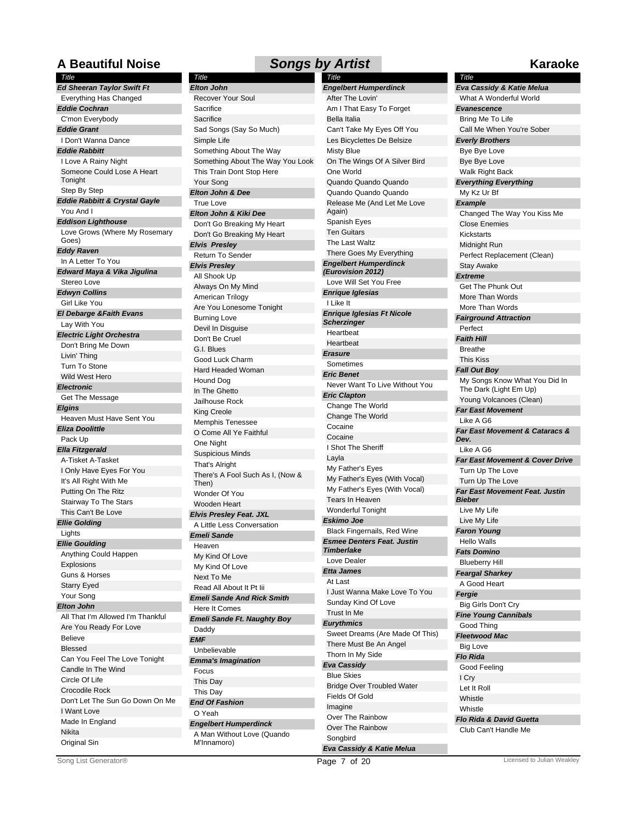### *Title Ed Sheeran Taylor Swift Ft* Everything Has Changed *Eddie Cochran* C'mon Everybody *Eddie Grant* I Don't Wanna Dance *Eddie Rabbitt* I Love A Rainy Night Someone Could Lose A Heart **Tonight** Step By Step *Eddie Rabbitt & Crystal Gayle* You And I *Eddison Lighthouse* Love Grows (Where My Rosemary Goes) *Eddy Raven* In A Letter To You *Edward Maya & Vika Jigulina* Stereo Love *Edwyn Collins* Girl Like You *El Debarge &Faith Evans* Lay With You *Electric Light Orchestra* Don't Bring Me Down Livin' Thing Turn To Stone Wild West Hero *Electronic* Get The Message *Elgins* Heaven Must Have Sent You *Eliza Doolittle* Pack Up *Ella Fitzgerald* A-Tisket A-Tasket I Only Have Eyes For You It's All Right With Me Putting On The Ritz Stairway To The Stars This Can't Be Love *Ellie Golding* Lights *Ellie Goulding* Anything Could Happen **Explosions** Guns & Horses Starry Eyed Your Song

*Elton John* All That I'm Allowed I'm Thankful Are You Ready For Love Believe Blessed Can You Feel The Love Tonight Candle In The Wind Circle Of Life Crocodile Rock Don't Let The Sun Go Down On Me I Want Love Made In England Nikita Original Sin

M'Innamoro)

## **Sacrifice Sacrifice** Sad Songs (Say So Much) Simple Life Something About The Way Something About The Way You Look This Train Dont Stop Here Your Song Don't Go Breaking My Heart Always On My Mind American Trilogy Are You Lonesome Tonight Burning Love Devil In Disguise Don't Be Cruel G.I. Blues Good Luck Charm Hard Headed Woman Hound Dog In The Ghetto Jailhouse Rock King Creole Memphis Tenessee O Come All Ye Faithful One Night Suspicious Minds That's Alright There's A Fool Such As I, (Now & Then) Wonder Of You Wooden Heart My Kind Of Love My Kind Of Love Next To Me Read All About It Pt Iii This Day This Day *Title Elton John* Recover Your Soul *Elton John & Dee* True Love *Elton John & Kiki Dee* Don't Go Breaking My Heart *Elvis Presley* Return To Sender *Elvis Presley* All Shook Up *Elvis Presley Feat. JXL* A Little Less Conversation *Emeli Sande* Heaven *Emeli Sande And Rick Smith* Here It Comes *Emeli Sande Ft. Naughty Boy* Daddy *EMF* Unbelievable *Emma's Imagination* Focus *End Of Fashion* O Yeah *Engelbert Humperdinck* A Man Without Love (Quando

Am I That Easy To Forget Bella Italia Can't Take My Eyes Off You Les Bicyclettes De Belsize Misty Blue On The Wings Of A Silver Bird One World Quando Quando Quando Quando Quando Quando Release Me (And Let Me Love Again) Spanish Eyes Ten Guitars The Last Waltz There Goes My Everything Heartbeat Change The World Cocaine Cocaine I Shot The Sheriff Layla My Father's Eyes My Father's Eyes (With Vocal) My Father's Eyes (With Vocal) Tears In Heaven Wonderful Tonight I Just Wanna Make Love To You Sunday Kind Of Love Trust In Me There Must Be An Angel Thorn In My Side Bridge Over Troubled Water Fields Of Gold Imagine Over The Rainbow Over The Rainbow Songbird *Title Engelbert Humperdinck* After The Lovin' *Engelbert Humperdinck (Eurovision 2012)* Love Will Set You Free *Enrique Iglesias* I Like It *Enrique Iglesias Ft Nicole Scherzinger* Heartbeat *Erasure* Sometimes *Eric Benet* Never Want To Live Without You *Eric Clapton* Change The World *Eskimo Joe* Black Fingernails, Red Wine *Esmee Denters Feat. Justin Timberlake* Love Dealer *Etta James* At Last *Eurythmics* Sweet Dreams (Are Made Of This) *Eva Cassidy* Blue Skies *Eva Cassidy & Katie Melua*

Call Me When You're Sober Bye Bye Love Walk Right Back Close Enemies Kickstarts Midnight Run Perfect Replacement (Clean) Stay Awake More Than Words More Than Words This Kiss Young Volcanoes (Clean) Turn Up The Love Live My Life I Cry Let It Roll Whistle **Whistle** *Title Eva Cassidy & Katie Melua* What A Wonderful World *Evanescence* Bring Me To Life *Everly Brothers* Bye Bye Love *Everything Everything* My Kz Ur Bf *Example* Changed The Way You Kiss Me *Extreme* Get The Phunk Out *Fairground Attraction* Perfect *Faith Hill* Breathe *Fall Out Boy* My Songs Know What You Did In The Dark (Light Em Up) *Far East Movement* Like A G6 *Far East Movement & Cataracs & Dev.* Like A G6 *Far East Movement & Cover Drive* Turn Up The Love *Far East Movement Feat. Justin Bieber* Live My Life *Faron Young* Hello Walls *Fats Domino* Blueberry Hill *Feargal Sharkey* A Good Heart *Fergie* Big Girls Don't Cry *Fine Young Cannibals* Good Thing *Fleetwood Mac* Big Love *Flo Rida* Good Feeling *Flo Rida & David Guetta* Club Can't Handle Me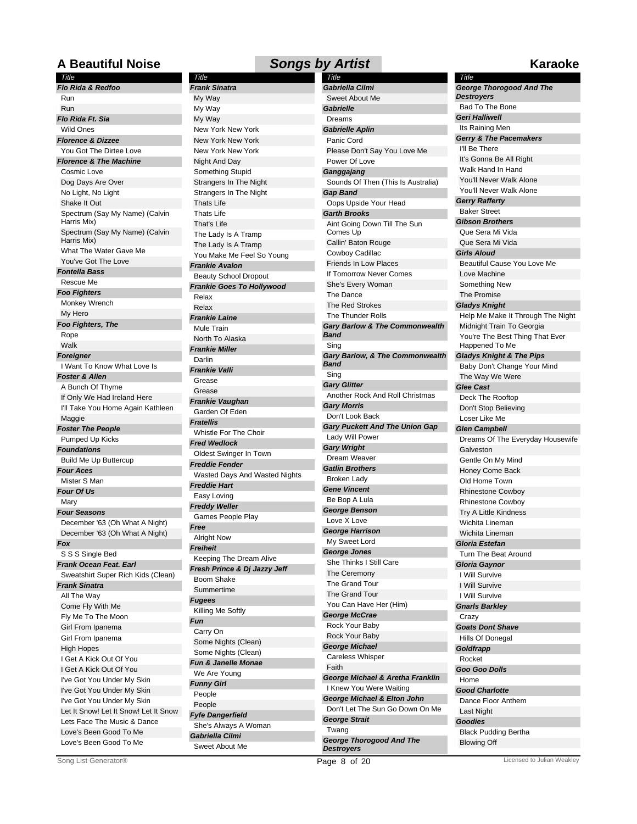| Title                                                |
|------------------------------------------------------|
| Frank Sinatra                                        |
| My Way                                               |
| My Way                                               |
| My Way                                               |
| <b>New York New York</b>                             |
| New York New York<br>New York New York               |
|                                                      |
| Night And Day<br>Something Stupid                    |
| Strangers In The Night                               |
| Strangers In The Night                               |
| <b>Thats Life</b>                                    |
| <b>Thats Life</b>                                    |
| That's Life                                          |
| The Lady Is A Tramp                                  |
| The Lady Is A Tramp                                  |
| You Make Me Feel So Young                            |
| <b>Frankie Avalon</b>                                |
| <b>Beauty School Dropout</b>                         |
| Frankie Goes To Hollywood                            |
| Relax                                                |
| Relax                                                |
| <b>Frankie Laine</b>                                 |
| Mule Train                                           |
| North To Alaska                                      |
| <b>Frankie Miller</b>                                |
| Darlin                                               |
| <b>Frankie Valli</b>                                 |
| Grease                                               |
| Grease                                               |
| Frankie Vaughan                                      |
| Garden Of Eden                                       |
| <b>Fratellis</b>                                     |
| Whistle For The Choir                                |
| <b>Fred Wedlock</b>                                  |
| Oldest Swinger In Town                               |
| <b>Freddie Fender</b>                                |
| Wasted Days And Wasted Nights<br><b>Freddie Hart</b> |
| Easy Loving                                          |
| <b>Freddy Weller</b>                                 |
| Games People Play                                    |
| Free                                                 |
| <b>Alright Now</b>                                   |
| Freiheit                                             |
| Keeping The Dream Alive                              |
| Fresh Prince & Dj Jazzy Jeff                         |
| <b>Boom Shake</b>                                    |
| Summertime                                           |
| <b>Fugees</b>                                        |
| Killing Me Softly                                    |
| Fun                                                  |
| Carry On                                             |
| Some Nights (Clean)                                  |
| Some Nights (Clean)                                  |
| Fun & Janelle Monae                                  |
| We Are Young                                         |
| <b>Funny Girl</b>                                    |
| People                                               |
| People                                               |
| <b>Fyfe Dangerfield</b>                              |
| She's Always A Woman                                 |
| Gabriella Cilmi                                      |
| Sweet About Me                                       |

| Title                                                       |
|-------------------------------------------------------------|
| Gabriella Cilmi                                             |
| Sweet About Me                                              |
| Gabrielle                                                   |
| Dreams                                                      |
| <b>Gabrielle Aplin</b>                                      |
| Panic Cord                                                  |
| Please Don't Say You Love Me                                |
| Power Of Love                                               |
| Ganggajang                                                  |
| Sounds Of Then (This Is Australia)                          |
| Gap Band                                                    |
| Oops Upside Your Head                                       |
| <b>Garth Brooks</b>                                         |
| Aint Going Down Till The Sun<br>Comes Up                    |
| Callin' Baton Rouge                                         |
| Cowboy Cadillac                                             |
| <b>Friends In Low Places</b>                                |
| If Tomorrow Never Comes                                     |
| She's Every Woman                                           |
| The Dance                                                   |
| <b>The Red Strokes</b>                                      |
| The Thunder Rolls                                           |
| <b>Gary Barlow &amp; The Commonwealth</b>                   |
| <b>Band</b>                                                 |
| Sing                                                        |
| <b>Gary Barlow, &amp; The Commonwealth</b>                  |
| Band                                                        |
| Sing                                                        |
| <b>Gary Glitter</b>                                         |
| Another Rock And Roll Christmas                             |
| <b>Gary Morris</b>                                          |
| Don't Look Back                                             |
| <b>Gary Puckett And The Union Gap</b>                       |
| Lady Will Power                                             |
|                                                             |
| <b>Gary Wright</b>                                          |
| Dream Weaver                                                |
| <b>Gatlin Brothers</b>                                      |
| Broken Lady                                                 |
| <b>Gene Vincent</b>                                         |
| Be Bop A Lula                                               |
| George Benson                                               |
| Love X Love                                                 |
| <b>George Harrison</b>                                      |
| My Sweet Lord                                               |
| George Jones                                                |
| She Thinks I Still Care                                     |
| The Ceremony                                                |
| The Grand Tour                                              |
| The Grand Tour                                              |
| You Can Have Her (Him)                                      |
| George McCrae                                               |
| Rock Your Baby                                              |
| Rock Your Baby<br>George Michael                            |
| <b>Careless Whisper</b>                                     |
| Faith                                                       |
|                                                             |
| George Michael & Aretha Franklin<br>I Knew You Were Waiting |
| George Michael & Elton John                                 |
| Don't Let The Sun Go Down On Me                             |
| <b>George Strait</b>                                        |
| Twang                                                       |
| <b>George Thorogood And The</b>                             |

It's Gonna Be All Right Walk Hand In Hand You'll Never Walk Alone You'll Never Walk Alone Que Sera Mi Vida Love Machine Something New The Promise Midnight Train To Georgia You're The Best Thing That Ever Happened To Me The Way We Were Don't Stop Believing Loser Like Me Galveston Gentle On My Mind Honey Come Back Old Home Town Rhinestone Cowboy Rhinestone Cowboy Try A Little Kindness Wichita Lineman Wichita Lineman I Will Survive I Will Survive Last Night Blowing Off *Title George Thorogood And The Destroyers* Bad To The Bone *Geri Halliwell* Its Raining Men *Gerry & The Pacemakers* I'll Be There *Gerry Rafferty* Baker Street *Gibson Brothers* Que Sera Mi Vida *Girls Aloud* Beautiful Cause You Love Me *Gladys Knight* Help Me Make It Through The Night *Gladys Knight & The Pips* Baby Don't Change Your Mind *Glee Cast* Deck The Rooftop *Glen Campbell* Dreams Of The Everyday Housewife *Gloria Estefan* Turn The Beat Around *Gloria Gaynor* I Will Survive *Gnarls Barkley* Crazy *Goats Dont Shave* Hills Of Donegal *Goldfrapp* Rocket *Goo Goo Dolls* Home *Good Charlotte* Dance Floor Anthem *Goodies* Black Pudding Bertha

**Page 8 of 20** Licensed to Julian Weakley **Page 8 of 20** Licensed to Julian Weakley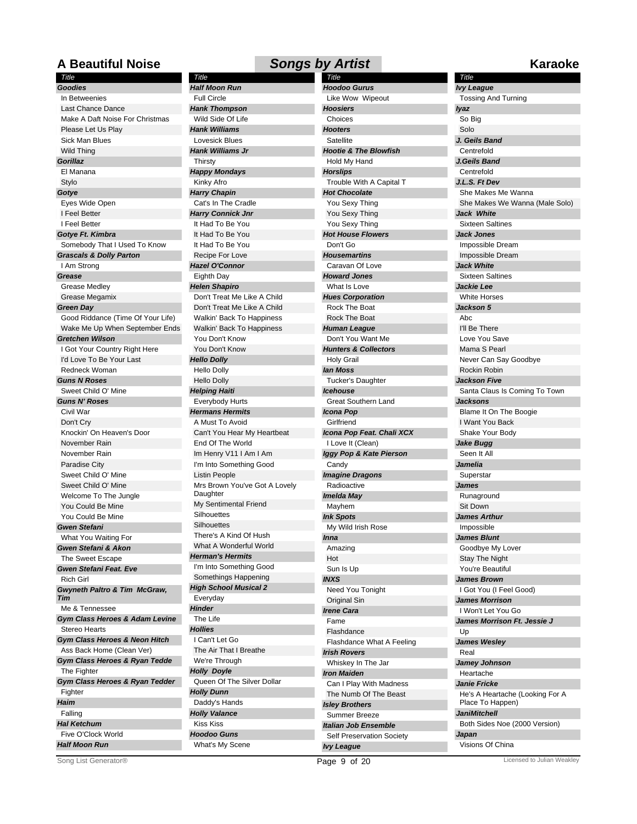| Title                                          |
|------------------------------------------------|
| Goodies                                        |
| In Betweenies                                  |
| <b>Last Chance Dance</b>                       |
| Make A Daft Noise For Christmas                |
| Please Let Us Play                             |
| <b>Sick Man Blues</b>                          |
| Wild Thing                                     |
| Gorillaz                                       |
| El Manana                                      |
| Stylo                                          |
| Gotye                                          |
| Eyes Wide Open                                 |
| I Feel Better                                  |
| I Feel Better<br>Gotye Ft. Kimbra              |
|                                                |
| Somebody That I Used To Know                   |
| <b>Grascals &amp; Dolly Parton</b>             |
| I Am Strong<br>Grease                          |
| <b>Grease Medley</b>                           |
| Grease Megamix                                 |
|                                                |
| Green Day<br>Good Riddance (Time Of Your Life) |
| Wake Me Up When September Ends                 |
| <b>Gretchen Wilson</b>                         |
| I Got Your Country Right Here                  |
| I'd Love To Be Your Last                       |
| Redneck Woman                                  |
| <b>Guns N Roses</b>                            |
| Sweet Child O' Mine                            |
| <b>Guns N' Roses</b>                           |
| Civil War                                      |
| Don't Cry                                      |
| Knockin' On Heaven's Door                      |
| November Rain                                  |
| November Rain                                  |
| <b>Paradise City</b>                           |
| Sweet Child O' Mine                            |
| Sweet Child O' Mine                            |
| Welcome To The Jungle                          |
| You Could Be Mine                              |
| You Could Be Mine                              |
| <b>Gwen Stefani</b>                            |
| What You Waiting For                           |
| <b>Gwen Stefani &amp; Akon</b>                 |
| The Sweet Escape                               |
| <b>Gwen Stefani Feat. Eve</b>                  |
| <b>Rich Girl</b>                               |
| <b>Gwyneth Paltro &amp; Tim McGraw,</b>        |
| Tim                                            |
| Me & Tennessee                                 |
| Gym Class Heroes & Adam Levine                 |
| <b>Stereo Hearts</b>                           |
| Gym Class Heroes & Neon Hitch                  |
| Ass Back Home (Clean Ver)                      |
| Gym Class Heroes & Ryan Tedde                  |
| <b>The Fighter</b>                             |
| Gym Class Heroes & Ryan Tedder                 |
| Fighter                                        |
| <b>Haim</b>                                    |
| Falling                                        |
| <b>Hal Ketchum</b>                             |
| Five O'Clock World                             |
| Half Moon Run                                  |

|                               | Songs |
|-------------------------------|-------|
| Title                         |       |
| <b>Half Moon Run</b>          |       |
| <b>Full Circle</b>            |       |
| <b>Hank Thompson</b>          |       |
| Wild Side Of Life             |       |
| <b>Hank Williams</b>          |       |
| <b>Lovesick Blues</b>         |       |
| <b>Hank Williams Jr</b>       |       |
| Thirsty                       |       |
| <b>Happy Mondays</b>          |       |
| Kinky Afro                    |       |
| <b>Harry Chapin</b>           |       |
| Cat's In The Cradle           |       |
| <b>Harry Connick Jnr</b>      |       |
| It Had To Be You              |       |
| It Had To Be You              |       |
| It Had To Be You              |       |
| Recipe For Love               |       |
| <b>Hazel O'Connor</b>         |       |
| Eighth Day                    |       |
| <b>Helen Shapiro</b>          |       |
| Don't Treat Me Like A Child   |       |
| Don't Treat Me Like A Child   |       |
| Walkin' Back To Happiness     |       |
| Walkin' Back To Happiness     |       |
| You Don't Know                |       |
| You Don't Know                |       |
| <b>Hello Dolly</b>            |       |
| <b>Hello Dolly</b>            |       |
| <b>Hello Dolly</b>            |       |
| <b>Helping Haiti</b>          |       |
| Everybody Hurts               |       |
| <b>Hermans Hermits</b>        |       |
| A Must To Avoid               |       |
| Can't You Hear My Heartbeat   |       |
| End Of The World              |       |
| Im Henry V11 I Am I Am        |       |
| I'm Into Something Good       |       |
| <b>Listin People</b>          |       |
| Mrs Brown You've Got A Lovely |       |
| Daughter                      |       |
| My Sentimental Friend         |       |
| Silhouettes                   |       |
| Silhouettes                   |       |
| There's A Kind Of Hush        |       |
| What A Wonderful World        |       |
| <b>Herman's Hermits</b>       |       |
| I'm Into Something Good       |       |
| Somethings Happening          |       |
| <b>High School Musical 2</b>  |       |
| Everyday                      |       |
| Hinder                        |       |
| The Life                      |       |
| <b>Hollies</b>                |       |
| I Can't Let Go                |       |
| The Air That I Breathe        |       |
|                               |       |
| We're Through                 |       |
| <b>Holly Doyle</b>            |       |
| Queen Of The Silver Dollar    |       |
| <b>Holly Dunn</b>             |       |
| Daddy's Hands                 |       |
| <b>Holly Valance</b>          |       |

Kiss Kiss *Hoodoo Guns* What's My Scene

## You Sexy Thing You Sexy Thing Rock The Boat Hot Sun Is Up Original Sin Flashdance Flashdance What A Feeling The Numb Of The Beast *Title Hoodoo Gurus* Like Wow Wipeout *Hoosiers* Choices *Hooters* **Satellite** *Hootie & The Blowfish* Hold My Hand *Horslips* Trouble With A Capital T *Hot Chocolate* You Sexy Thing *Hot House Flowers* Don't Go *Housemartins* Caravan Of Love *Howard Jones* What Is Love *Hues Corporation* Rock The Boat *Human League* Don't You Want Me *Hunters & Collectors* Holy Grail *Ian Moss* Tucker's Daughter *Icehouse* Great Southern Land *Icona Pop* **Girlfriend** *Icona Pop Feat. Chali XCX* I Love It (Clean) *Iggy Pop & Kate Pierson* **Candy** *Imagine Dragons* Radioactive *Imelda May* Mayhem *Ink Spots* My Wild Irish Rose *Inna* Amazing *INXS* Need You Tonight *Irene Cara* Fame *Irish Rovers* Whiskey In The Jar *Iron Maiden* Can I Play With Madness *Isley Brothers* Summer Breeze *Italian Job Ensemble* Self Preservation Society *Ivy League*

| Title                           |
|---------------------------------|
| <b>Ivy League</b>               |
| Tossing And Turning             |
| lyaz                            |
| So Big                          |
| Solo                            |
| J. Geils Band                   |
| Centrefold                      |
| J.Geils Band                    |
| Centrefold                      |
| J.L.S. Ft Dev                   |
| She Makes Me Wanna              |
| She Makes We Wanna (Male Solo)  |
| Jack White                      |
| <b>Sixteen Saltines</b>         |
| <b>Jack Jones</b>               |
| Impossible Dream                |
| Impossible Dream                |
| <b>Jack White</b>               |
| <b>Sixteen Saltines</b>         |
| Jackie Lee                      |
| <b>White Horses</b>             |
| Jackson 5                       |
| Abc                             |
| I'll Be There                   |
| Love You Save                   |
| Mama S Pearl                    |
| Never Can Say Goodbye           |
| Rockin Robin                    |
| <b>Jackson Five</b>             |
| Santa Claus Is Coming To Town   |
| <b>Jacksons</b>                 |
| Blame It On The Boogie          |
| I Want You Back                 |
| Shake Your Body                 |
| <b>Jake Bugg</b>                |
| Seen It All                     |
| Jamelia                         |
| Superstar                       |
| James                           |
| Runaground                      |
| <b>Sit Down</b>                 |
| <b>James Arthur</b>             |
| Impossible                      |
| <b>James Blunt</b>              |
| Goodbye My Lover                |
| <b>Stay The Night</b>           |
| You're Beautiful                |
| <b>James Brown</b>              |
| I Got You (I Feel Good)         |
| <b>James Morrison</b>           |
| I Won't Let You Go              |
| James Morrison Ft. Jessie J     |
| Up                              |
| <b>James Wesley</b>             |
| Real                            |
| <b>Jamey Johnson</b>            |
| Heartache                       |
| <b>Janie Fricke</b>             |
| He's A Heartache (Looking For A |
| Place To Happen)                |
| <b>JaniMitchell</b>             |
| Both Sides Noe (2000 Version)   |
|                                 |
| Japan<br>Visions Of China       |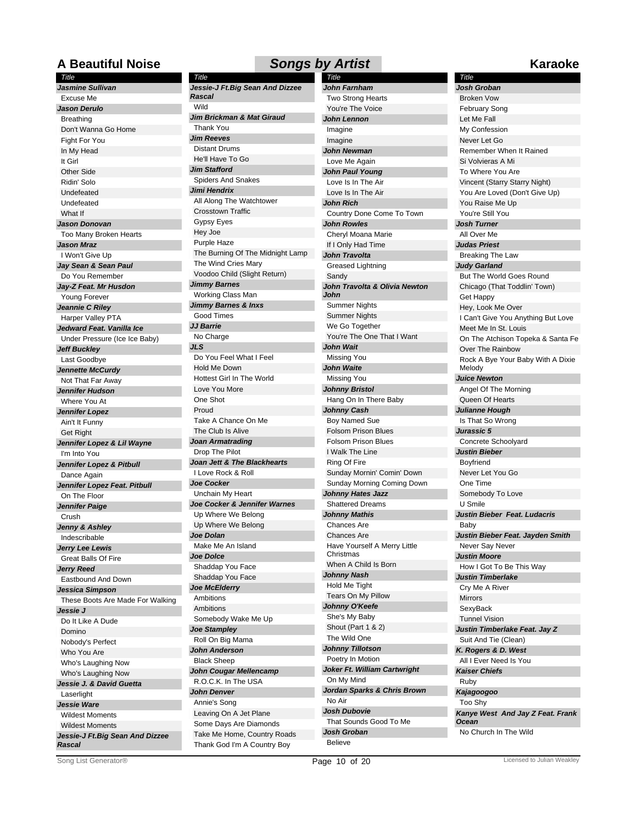| Title                                         |
|-----------------------------------------------|
| <b>Jasmine Sullivan</b>                       |
| <b>Excuse Me</b>                              |
| Jason Derulo                                  |
| Breathing                                     |
| Don't Wanna Go Home                           |
| Fight For You<br>In My Head                   |
| It Girl                                       |
| Other Side                                    |
| Ridin' Solo                                   |
| Undefeated                                    |
| Undefeated                                    |
| What If                                       |
| <b>Jason Donovan</b>                          |
| Too Many Broken Hearts                        |
| <b>Jason Mraz</b>                             |
| I Won't Give Up                               |
| Jay Sean & Sean Paul                          |
| Do You Remember                               |
| Jay-Z Feat. Mr Husdon                         |
| <b>Young Forever</b>                          |
| Jeannie C Riley                               |
| <b>Harper Valley PTA</b>                      |
| Jedward Feat. Vanilla Ice                     |
| Under Pressure (Ice Ice Baby)                 |
| <b>Jeff Buckley</b>                           |
| Last Goodbye                                  |
| <b>Jennette McCurdy</b>                       |
| Not That Far Away                             |
| <b>Jennifer Hudson</b>                        |
| Where You At                                  |
| <b>Jennifer Lopez</b>                         |
| Ain't It Funny                                |
| Get Right                                     |
| Jennifer Lopez & Lil Wayne                    |
| I'm Into You                                  |
| Jennifer Lopez & Pitbull                      |
| Dance Again                                   |
| Jennifer Lopez Feat. Pitbull                  |
| On The Floor                                  |
| <b>Jennifer Paige</b>                         |
| Crush                                         |
| Jenny & Ashley                                |
| Indescribable                                 |
| Jerry Lee Lewis<br><b>Great Balls Of Fire</b> |
|                                               |
| <b>Jerry Reed</b><br>Eastbound And Down       |
| Jessica Simpson                               |
| These Boots Are Made For Walking              |
| Jessie J                                      |
| Do It Like A Dude                             |
| Domino                                        |
| Nobody's Perfect                              |
| Who You Are                                   |
| Who's Laughing Now                            |
| Who's Laughing Now                            |
| Jessie J. & David Guetta                      |
| Laserlight                                    |
| <b>Jessie Ware</b>                            |
| <b>Wildest Moments</b>                        |
| <b>Wildest Moments</b>                        |
| Jessie-J Ft. Big Sean And Dizzee              |
| Rascal                                        |

## He'll Have To Go Crosstown Traffic Gypsy Eyes Hey Joe Purple Haze The Burning Of The Midnight Lamp The Wind Cries Mary Voodoo Child (Slight Return) Hold Me Down Hottest Girl In The World Love You More One Shot Proud Take A Chance On Me The Club Is Alive Up Where We Belong Shaddap You Face Ambitions Somebody Wake Me Up Leaving On A Jet Plane Some Days Are Diamonds Take Me Home, Country Roads Thank God I'm A Country Boy *Title Jessie-J Ft.Big Sean And Dizzee Rascal* Wild *Jim Brickman & Mat Giraud* Thank You *Jim Reeves* Distant Drums *Jim Stafford* Spiders And Snakes *Jimi Hendrix* All Along The Watchtower *Jimmy Barnes* Working Class Man *Jimmy Barnes & Inxs* Good Times *JJ Barrie* No Charge *JLS* Do You Feel What I Feel *Joan Armatrading* Drop The Pilot *Joan Jett & The Blackhearts* I Love Rock & Roll *Joe Cocker* Unchain My Heart *Joe Cocker & Jennifer Warnes* Up Where We Belong *Joe Dolan* Make Me An Island *Joe Dolce* Shaddap You Face *Joe McElderry* Ambitions *Joe Stampley* Roll On Big Mama *John Anderson* Black Sheep *John Cougar Mellencamp* R.O.C.K. In The USA *John Denver* Annie's Song

## You're The Voice Imagine Love Is In The Air If I Only Had Time **Sandy** Summer Nights We Go Together You're The One That I Want Folsom Prison Blues Folsom Prison Blues I Walk The Line Ring Of Fire Sunday Mornin' Comin' Down Sunday Morning Coming Down Chances Are Have Yourself A Merry Little Christmas When A Child Is Born Tears On My Pillow Shout (Part 1 & 2) The Wild One *Title John Farnham* Two Strong Hearts *John Lennon* Imagine *John Newman* Love Me Again *John Paul Young* Love Is In The Air *John Rich* Country Done Come To Town *John Rowles* Cheryl Moana Marie *John Travolta* Greased Lightning *John Travolta & Olivia Newton John* Summer Nights *John Wait* Missing You *John Waite* Missing You *Johnny Bristol* Hang On In There Baby *Johnny Cash* Boy Named Sue *Johnny Hates Jazz* Shattered Dreams *Johnny Mathis* Chances Are *Johnny Nash* Hold Me Tight *Johnny O'Keefe* She's My Baby *Johnny Tillotson* Poetry In Motion *Joker Ft. William Cartwright* On My Mind *Jordan Sparks & Chris Brown* No Air *Josh Dubovie* That Sounds Good To Me *Josh Groban* Believe

February Song Let Me Fall My Confession Never Let Go Remember When It Rained Si Volvieras A Mi To Where You Are Vincent (Starry Starry Night) You Are Loved (Don't Give Up) You Raise Me Up You're Still You Chicago (That Toddlin' Town) Get Happy Hey, Look Me Over I Can't Give You Anything But Love Meet Me In St. Louis On The Atchison Topeka & Santa Fe Over The Rainbow Rock A Bye Your Baby With A Dixie Melody Queen Of Hearts Never Let You Go One Time Somebody To Love U Smile Mirrors SexyBack Tunnel Vision *Title Josh Groban* Broken Vow *Josh Turner* All Over Me *Judas Priest* Breaking The Law *Judy Garland* But The World Goes Round *Juice Newton* Angel Of The Morning *Julianne Hough* Is That So Wrong *Jurassic 5* Concrete Schoolyard *Justin Bieber* Boyfriend *Justin Bieber Feat. Ludacris* **Baby** *Justin Bieber Feat. Jayden Smith* Never Say Never *Justin Moore* How I Got To Be This Way *Justin Timberlake* Cry Me A River *Justin Timberlake Feat. Jay Z* Suit And Tie (Clean) *K. Rogers & D. West* All I Ever Need Is You *Kaiser Chiefs* Ruby *Kajagoogoo* Too Shy *Kanye West And Jay Z Feat. Frank Ocean* No Church In The Wild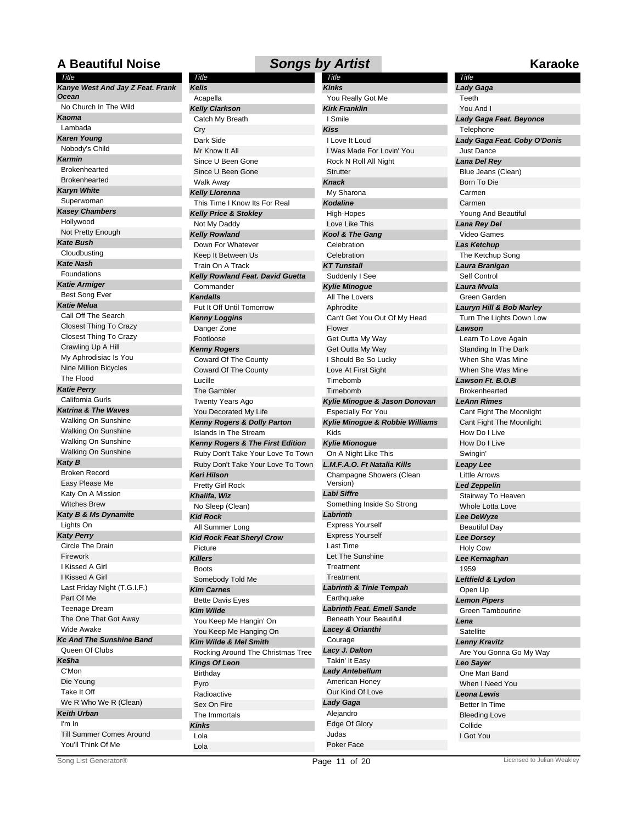| Kanye West And Jay Z Feat. Frank    |
|-------------------------------------|
| Ocean                               |
| No Church In The Wild               |
| Kaoma                               |
| Lambada                             |
| Karen Young                         |
| Nobody's Child                      |
| Karmin                              |
| <b>Brokenhearted</b>                |
| <b>Brokenhearted</b>                |
| <b>Karyn White</b>                  |
| Superwoman                          |
| <b>Kasey Chambers</b>               |
| Hollywood                           |
| Not Pretty Enough                   |
| <b>Kate Bush</b>                    |
| Cloudbusting                        |
| <b>Kate Nash</b>                    |
| Foundations                         |
| <b>Katie Armiger</b>                |
| Best Song Ever                      |
| <b>Katie Melua</b>                  |
| Call Off The Search                 |
| <b>Closest Thing To Crazy</b>       |
| Closest Thing To Crazy              |
| Crawling Up A Hill                  |
| My Aphrodisiac Is You               |
| <b>Nine Million Bicycles</b>        |
| The Flood                           |
| <b>Katie Perry</b>                  |
| California Gurls                    |
| Katrina & The Waves                 |
| Walking On Sunshine                 |
| Walking On Sunshine                 |
|                                     |
| Walking On Sunshine                 |
| <b>Walking On Sunshine</b>          |
| <b>Katy B</b>                       |
| <b>Broken Record</b>                |
| Easy Please Me                      |
| Katy On A Mission                   |
| <b>Witches Brew</b>                 |
| Katy B & Ms Dynamite                |
| Lights On                           |
| <b>Katy Perry</b>                   |
| Circle The Drain                    |
|                                     |
| Firework<br>I Kissed A Girl         |
|                                     |
| I Kissed A Girl                     |
| Last Friday Night (T.G.I.F.)        |
| Part Of Me                          |
| Teenage Dream                       |
| The One That Got Away<br>Wide Awake |
| <b>Kc And The Sunshine Band</b>     |
|                                     |
| Queen Of Clubs                      |
| Ke\$ha<br>C'Mon                     |
|                                     |
| Die Young                           |
| Take It Off                         |
| We R Who We R (Clean)               |
| <b>Keith Urban</b>                  |
| I'm In<br>Till Summer Comes Around  |

Ţ

Ţ

# **A Beautiful Noise** *Songs by Artist* **Karaoke**

| Title                                                |
|------------------------------------------------------|
| Kelis                                                |
| Acapella                                             |
| <b>Kelly Clarkson</b>                                |
| Catch My Breath                                      |
| Cry                                                  |
| Dark Side                                            |
| Mr Know It All                                       |
| Since U Been Gone                                    |
| Since U Been Gone                                    |
| Walk Away                                            |
| <b>Kelly Llorenna</b>                                |
| This Time I Know Its For Real                        |
| <b>Kelly Price &amp; Stokley</b>                     |
| Not My Daddy                                         |
| <b>Kelly Rowland</b>                                 |
| Down For Whatever                                    |
| Keep It Between Us                                   |
| Train On A Track                                     |
| Kelly Rowland Feat. David Guetta                     |
| Commander                                            |
| Kendalls                                             |
| Put It Off Until Tomorrow                            |
| Kenny Loggins                                        |
| Danger Zone                                          |
| Footloose                                            |
| <b>Kenny Rogers</b>                                  |
| Coward Of The County                                 |
| <b>Coward Of The County</b>                          |
| Lucille                                              |
| <b>The Gambler</b>                                   |
| <b>Twenty Years Ago</b>                              |
| You Decorated My Life                                |
| Kenny Rogers & Dolly Parton<br>Islands In The Stream |
|                                                      |
| Kenny Rogers & The First Edition                     |
| Ruby Don't Take Your Love To Town                    |
| Ruby Don't Take Your Love To Town<br>Keri Hilson     |
| Pretty Girl Rock                                     |
| Khalifa, Wiz                                         |
| No Sleep (Clean)                                     |
| <b>Kid Rock</b>                                      |
| All Summer Long                                      |
| <b>Kid Rock Feat Sheryl Crow</b>                     |
| Picture                                              |
| <b>Killers</b>                                       |
| Boots                                                |
| Somebody Told Me                                     |
| <b>Kim Carnes</b>                                    |
| Bette Davis Eyes                                     |
| Kim Wilde                                            |
| You Keep Me Hangin' On                               |
| You Keep Me Hanging On                               |
| Kim Wilde & Mel Smith                                |
| Rocking Around The Christmas Tree                    |
| <b>Kings Of Leon</b>                                 |
| Birthday                                             |
| Pyro                                                 |
| Radioactive                                          |
| Sex On Fire                                          |
| The Immortals                                        |
| Kinks                                                |
| Lola                                                 |
| Lola                                                 |

I Was Made For Lovin' You Rock N Roll All Night **Strutter** Love Like This **Celebration** Aphrodite Can't Get You Out Of My Head Flower Get Outta My Way Get Outta My Way I Should Be So Lucky Love At First Sight Timebomb Timebomb Express Yourself Last Time Let The Sunshine **Treatment** Treatment Our Kind Of Love Edge Of Glory Judas Poker Face *Title Kinks* You Really Got Me *Kirk Franklin* I Smile *Kiss* I Love It Loud *Knack* My Sharona *Kodaline* High-Hopes *Kool & The Gang* **Celebration** *KT Tunstall* Suddenly I See *Kylie Minogue* All The Lovers *Kylie Minogue & Jason Donovan* Especially For You *Kylie Minogue & Robbie Williams* Kids *Kylie Mionogue* On A Night Like This *L.M.F.A.O. Ft Natalia Kills* Champagne Showers (Clean Version) *Labi Siffre* Something Inside So Strong *Labrinth* Express Yourself *Labrinth & Tinie Tempah* **Earthquake** *Labrinth Feat. Emeli Sande* Beneath Your Beautiful *Lacey & Orianthi* Courage *Lacy J. Dalton* Takin' It Easy *Lady Antebellum* American Honey *Lady Gaga* Alejandro

## You And I Born To Die Carmen Carmen Young And Beautiful Standing In The Dark When She Was Mine When She Was Mine Cant Fight The Moonlight How Do I Live How Do I Live Swingin' Whole Lotta Love When I Need You Bleeding Love Collide I Got You *Title Lady Gaga* Teeth *Lady Gaga Feat. Beyonce* Telephone *Lady Gaga Feat. Coby O'Donis* Just Dance *Lana Del Rey* Blue Jeans (Clean) *Lana Rey Del* Video Games *Las Ketchup* The Ketchup Song *Laura Branigan* Self Control *Laura Mvula* Green Garden *Lauryn Hill & Bob Marley* Turn The Lights Down Low *Lawson* Learn To Love Again *Lawson Ft. B.O.B* Brokenhearted *LeAnn Rimes* Cant Fight The Moonlight *Leapy Lee* Little Arrows *Led Zeppelin* Stairway To Heaven *Lee DeWyze* Beautiful Day *Lee Dorsey* Holy Cow *Lee Kernaghan* 1959 *Leftfield & Lydon* Open Up *Lemon Pipers* Green Tambourine *Lena* **Satellite** *Lenny Kravitz* Are You Gonna Go My Way *Leo Sayer* One Man Band *Leona Lewis* Better In Time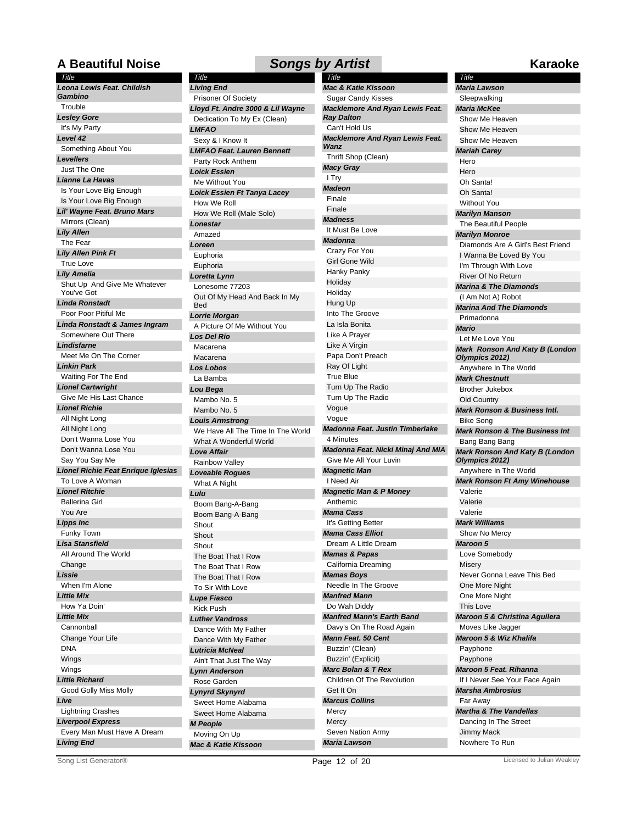| <u>Title</u>                               |
|--------------------------------------------|
| Leona Lewis Feat. Childish                 |
| Gambino                                    |
| Trouble                                    |
| <b>Lesley Gore</b>                         |
| It's My Party                              |
| Level 42                                   |
| Something About You                        |
| <b>Levellers</b>                           |
| <b>Just The One</b>                        |
| Lianne La Havas                            |
| Is Your Love Big Enough                    |
| Is Your Love Big Enough                    |
| Lil' Wayne Feat. Bruno Mars                |
| Mirrors (Clean)                            |
| <b>Lily Allen</b>                          |
| The Fear                                   |
| <b>Lily Allen Pink Ft</b>                  |
| <b>True Love</b>                           |
| Lily Amelia                                |
| Shut Up And Give Me Whatever<br>You've Got |
| <b>Linda Ronstadt</b>                      |
| Poor Poor Pitiful Me                       |
| Linda Ronstadt & James Ingram              |
| Somewhere Out There                        |
| Lindisfarne                                |
| Meet Me On The Corner                      |
| <b>Linkin Park</b>                         |
| Waiting For The End                        |
| <b>Lionel Cartwright</b>                   |
| Give Me His Last Chance                    |
| <b>Lionel Richie</b>                       |
| All Night Long                             |
| All Night Long                             |
| Don't Wanna Lose You                       |
| Don't Wanna Lose You                       |
| Say You Say Me                             |
| Lionel Richie Feat Enrique Iglesias        |
| To Love A Woman                            |
| <b>Lionel Ritchie</b>                      |
| <b>Ballerina Girl</b>                      |
| You Are                                    |
| <b>Lipps Inc</b>                           |
| <b>Funky Town</b>                          |
| Lisa Stansfield                            |
| All Around The World                       |
| Change                                     |
| Lissie                                     |
| When I'm Alone                             |
| Little M!x                                 |
| How Ya Doin'                               |
| <b>Little Mix</b>                          |
| Cannonball                                 |
| Change Your Life                           |
| <b>DNA</b>                                 |
| Wings                                      |
| Wings                                      |
| Little Richard                             |
| Good Golly Miss Molly                      |
| Live                                       |
| Lightning Crashes                          |
| <b>Liverpool Express</b>                   |
| Every Man Must Have A Dream                |
|                                            |

|                                      | יש |
|--------------------------------------|----|
| Title                                |    |
| <b>Living End</b>                    |    |
| Prisoner Of Society                  |    |
| Lloyd Ft. Andre 3000 & Lil Wayne     |    |
| Dedication To My Ex (Clean)          |    |
| <b>LMFAO</b>                         |    |
| Sexy & I Know It                     |    |
| <b>LMFAO Feat. Lauren Bennett</b>    |    |
| Party Rock Anthem                    |    |
| <b>Loick Essien</b>                  |    |
| Me Without You                       |    |
| Loick Essien Ft Tanya Lacey          |    |
| How We Roll                          |    |
| How We Roll (Male Solo)              |    |
| Lonestar                             |    |
| Amazed                               |    |
| Loreen                               |    |
| Euphoria                             |    |
| Euphoria                             |    |
| Loretta Lynn                         |    |
| Lonesome 77203                       |    |
| Out Of My Head And Back In My<br>Bed |    |
| <b>Lorrie Morgan</b>                 |    |
| A Picture Of Me Without You          |    |
| <b>Los Del Rio</b>                   |    |
| Macarena                             |    |
| Macarena                             |    |
| Los Lobos                            |    |
| La Bamba                             |    |
| Lou Bega                             |    |
| Mambo No. 5                          |    |
| Mambo No. 5                          |    |
| <b>Louis Armstrong</b>               |    |
| We Have All The Time In The World    |    |
| What A Wonderful World               |    |
| <b>Love Affair</b>                   |    |
| <b>Rainbow Valley</b>                |    |
| <b>Loveable Rogues</b>               |    |
| What A Night                         |    |
| Lulu                                 |    |
| Boom Bang-A-Bang                     |    |
| Boom Bang-A-Bang                     |    |
| Shout                                |    |
| Shout                                |    |
| Shout                                |    |
| The Boat That I Row                  |    |
| The Boat That I Row                  |    |
| The Boat That I Row                  |    |
| To Sir With Love                     |    |
| <b>Lupe Fiasco</b>                   |    |
| Kick Push                            |    |
| <b>Luther Vandross</b>               |    |
| Dance With My Father                 |    |
| Dance With My Father                 |    |
| <b>Lutricia McNeal</b>               |    |
| Ain't That Just The Way              |    |
| <b>Lynn Anderson</b>                 |    |
| Rose Garden                          |    |
| <b>Lynyrd Skynyrd</b>                |    |

Sweet Home Alabama

*M People* Moving On Up *Mac & Katie Kissoon*

Sweet Home Alabama

## Finale Girl Gone Wild Hanky Panky Holiday Holiday Hung Up Into The Groove La Isla Bonita Like A Prayer Like A Virgin Papa Don't Preach Ray Of Light True Blue Turn Up The Radio Turn Up The Radio Vogue Vogue Buzzin' (Explicit) Get It On **Mercy** Seven Nation Army *Title Mac & Katie Kissoon* Sugar Candy Kisses *Macklemore And Ryan Lewis Feat. Ray Dalton* Can't Hold Us *Macklemore And Ryan Lewis Feat. Wanz* Thrift Shop (Clean) *Macy Gray* I Try *Madeon* Finale *Madness* It Must Be Love *Madonna* Crazy For You *Madonna Feat. Justin Timberlake* 4 Minutes *Madonna Feat. Nicki Minaj And MIA* Give Me All Your Luvin *Magnetic Man* I Need Air *Magnetic Man & P Money* Anthemic *Mama Cass* It's Getting Better *Mama Cass Elliot* Dream A Little Dream *Mamas & Papas* California Dreaming *Mamas Boys* Needle In The Groove *Manfred Mann* Do Wah Diddy *Manfred Mann's Earth Band* Davy's On The Road Again *Mann Feat. 50 Cent* Buzzin' (Clean) *Marc Bolan & T Rex* Children Of The Revolution *Marcus Collins* Mercy *Maria Lawson*

Show Me Heaven Show Me Heaven Hero Oh Santa! Oh Santa! Without You I Wanna Be Loved By You I'm Through With Love River Of No Return Old Country Valerie Valerie Misery Never Gonna Leave This Bed One More Night One More Night This Love Payphone Jimmy Mack Nowhere To Run *Title Maria Lawson* Sleepwalking *Maria McKee* Show Me Heaven *Mariah Carey* Hero *Marilyn Manson* The Beautiful People *Marilyn Monroe* Diamonds Are A Girl's Best Friend *Marina & The Diamonds* (I Am Not A) Robot *Marina And The Diamonds* Primadonna *Mario* Let Me Love You *Mark Ronson And Katy B (London Olympics 2012)* Anywhere In The World *Mark Chestnutt* Brother Jukebox *Mark Ronson & Business Intl.* Bike Song *Mark Ronson & The Business Int* Bang Bang Bang *Mark Ronson And Katy B (London Olympics 2012)* Anywhere In The World *Mark Ronson Ft Amy Winehouse* Valerie *Mark Williams* Show No Mercy *Maroon 5* Love Somebody *Maroon 5 & Christina Aguilera* Moves Like Jagger *Maroon 5 & Wiz Khalifa* Payphone *Maroon 5 Feat. Rihanna* If I Never See Your Face Again *Marsha Ambrosius* Far Away *Martha & The Vandellas* Dancing In The Street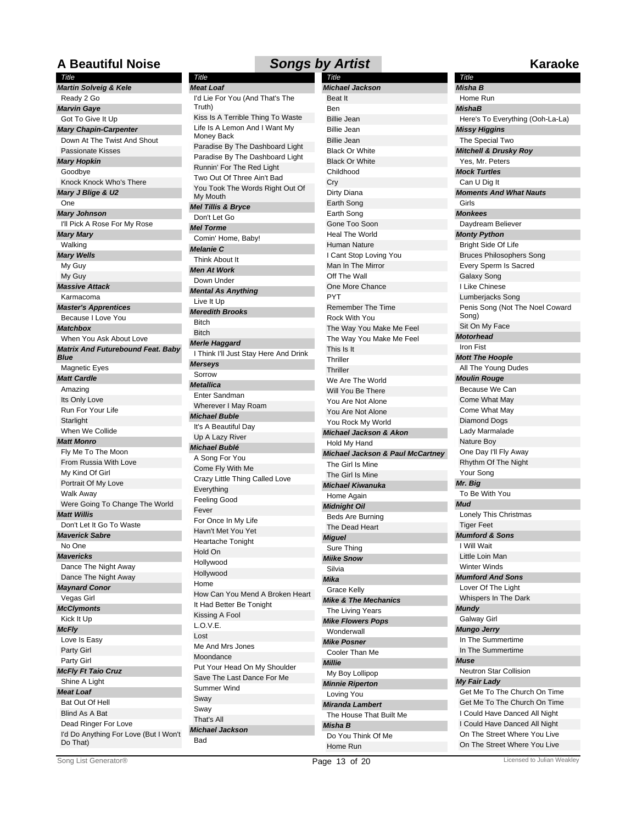*Title Martin Solveig & Kele* Ready 2 Go *Marvin Gaye* Got To Give It Up *Mary Chapin-Carpenter* Down At The Twist And Shout Passionate Kisses *Mary Hopkin* Goodbye Knock Knock Who's There *Mary J Blige & U2* One *Mary Johnson* I'll Pick A Rose For My Rose *Mary Mary* Walking *Mary Wells* My Guy My Guy *Massive Attack* Karmacoma *Master's Apprentices* Because I Love You *Matchbox* When You Ask About Love *Matrix And Futurebound Feat. Baby Blue* Magnetic Eyes *Matt Cardle* Amazing Its Only Love Run For Your Life **Starlight** When We Collide *Matt Monro* Fly Me To The Moon From Russia With Love My Kind Of Girl Portrait Of My Love Walk Away Were Going To Change The World *Matt Willis* Don't Let It Go To Waste *Maverick Sabre* No One *Mavericks* Dance The Night Away Dance The Night Away *Maynard Conor* Vegas Girl *McClymonts* Kick It Up *McFly* Love Is Easy Party Girl Party Girl *McFly Ft Taio Cruz* Shine A Light *Meat Loaf* Bat Out Of Hell Blind As A Bat Dead Ringer For Love I'd Do Anything For Love (But I Won't Do That)

Kiss Is A Terrible Thing To Waste Life Is A Lemon And I Want My Money Back Paradise By The Dashboard Light Paradise By The Dashboard Light Runnin' For The Red Light Two Out Of Three Ain't Bad You Took The Words Right Out Of My Mouth Bitch Wherever I May Roam Up A Lazy River Come Fly With Me Crazy Little Thing Called Love Everything Feeling Good Fever For Once In My Life Havn't Met You Yet Heartache Tonight Hold On Hollywood Hollywood Home How Can You Mend A Broken Heart It Had Better Be Tonight Kissing A Fool L.O.V.E. Lost Me And Mrs Jones Moondance Put Your Head On My Shoulder Save The Last Dance For Me Summer Wind Sway Sway That's All *Title Meat Loaf* I'd Lie For You (And That's The Truth) *Mel Tillis & Bryce* Don't Let Go *Mel Torme* Comin' Home, Baby! *Melanie C* Think About It *Men At Work* Down Under *Mental As Anything* Live It Up *Meredith Brooks* **Bitch** *Merle Haggard* I Think I'll Just Stay Here And Drink *Merseys* Sorrow *Metallica* Enter Sandman *Michael Buble* It's A Beautiful Day *Michael Bublé* A Song For You *Michael Jackson* **Bad** 

Ben Billie Jean Billie Jean Billie Jean Black Or White Black Or White Childhood **Cry** Dirty Diana Earth Song Earth Song Gone Too Soon Heal The World Human Nature I Cant Stop Loving You Man In The Mirror Off The Wall One More Chance PYT Remember The Time Rock With You The Way You Make Me Feel The Way You Make Me Feel This Is It **Thriller Thriller** We Are The World Will You Be There You Are Not Alone You Are Not Alone You Rock My World The Girl Is Mine The Dead Heart Home Run *Title Michael Jackson* Beat It *Michael Jackson & Akon* Hold My Hand *Michael Jackson & Paul McCartney* The Girl Is Mine *Michael Kiwanuka* Home Again *Midnight Oil* Beds Are Burning *Miguel* Sure Thing *Miike Snow* Silvia *Mika* Grace Kelly *Mike & The Mechanics* The Living Years *Mike Flowers Pops* **Wonderwall** *Mike Posner* Cooler Than Me *Millie* My Boy Lollipop *Minnie Riperton* Loving You *Miranda Lambert* The House That Built Me *Misha B* Do You Think Of Me

Bruces Philosophers Song Every Sperm Is Sacred Galaxy Song I Like Chinese Lumberjacks Song Penis Song (Not The Noel Coward Song) Sit On My Face Come What May Come What May Diamond Dogs Lady Marmalade Nature Boy One Day I'll Fly Away Rhythm Of The Night Your Song Tiger Feet Little Loin Man Winter Winds Whispers In The Dark In The Summertime Get Me To The Church On Time I Could Have Danced All Night I Could Have Danced All Night On The Street Where You Live On The Street Where You Live *Title Misha B* Home Run *MishaB* Here's To Everything (Ooh-La-La) *Missy Higgins* The Special Two *Mitchell & Drusky Roy* Yes, Mr. Peters *Mock Turtles* Can U Dig It *Moments And What Nauts* Girls *Monkees* Daydream Believer *Monty Python* Bright Side Of Life *Motorhead* Iron Fist *Mott The Hoople* All The Young Dudes *Moulin Rouge* Because We Can *Mr. Big* To Be With You *Mud* Lonely This Christmas *Mumford & Sons* I Will Wait *Mumford And Sons* Lover Of The Light *Mundy* Galway Girl *Mungo Jerry* In The Summertime *Muse* Neutron Star Collision *My Fair Lady* Get Me To The Church On Time

**Page 13 of 20** List Generator® 20 Licensed to Julian Weakley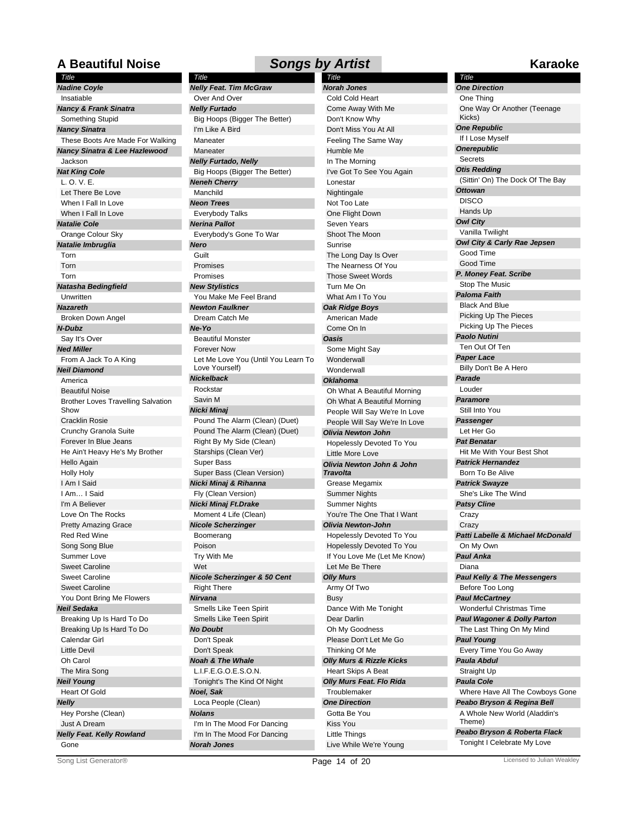| Title                                             |
|---------------------------------------------------|
| <b>Nadine Coyle</b>                               |
| Insatiable                                        |
| <b>Nancy &amp; Frank Sinatra</b>                  |
| Something Stupid                                  |
| <b>Nancy Sinatra</b>                              |
| These Boots Are Made For Walking                  |
| Nancy Sinatra & Lee Hazlewood                     |
| Jackson                                           |
| <b>Nat King Cole</b>                              |
| L. O. V. E.                                       |
| Let There Be Love                                 |
| When I Fall In Love                               |
| When I Fall In Love                               |
| <b>Natalie Cole</b>                               |
| Orange Colour Sky                                 |
| Natalie Imbruglia                                 |
| Torn                                              |
| Torn                                              |
| Torn                                              |
| Natasha Bedingfield                               |
| Unwritten                                         |
| <b>Nazareth</b>                                   |
| Broken Down Angel                                 |
| N-Dubz                                            |
| Say It's Over                                     |
| <b>Ned Miller</b>                                 |
| From A Jack To A King                             |
| Neil Diamond                                      |
| America                                           |
| <b>Beautiful Noise</b>                            |
|                                                   |
| <b>Brother Loves Travelling Salvation</b><br>Show |
| <b>Cracklin Rosie</b>                             |
| Crunchy Granola Suite                             |
| Forever In Blue Jeans                             |
| He Ain't Heavy He's My Brother                    |
| Hello Again                                       |
| Holly Holy                                        |
| I Am I Said                                       |
| I Am I Said                                       |
| I'm A Believer                                    |
| Love On The Rocks                                 |
| <b>Pretty Amazing Grace</b>                       |
| Red Red Wine                                      |
|                                                   |
| Song Song Blue                                    |
| Summer Love<br><b>Sweet Caroline</b>              |
|                                                   |
| <b>Sweet Caroline</b>                             |
| <b>Sweet Caroline</b>                             |
| You Dont Bring Me Flowers                         |
| <b>Neil Sedaka</b>                                |
| Breaking Up Is Hard To Do                         |
| Breaking Up Is Hard To Do                         |
| Calendar Girl                                     |
| <b>Little Devil</b>                               |
| Oh Carol                                          |
| The Mira Song                                     |
| <b>Neil Young</b>                                 |
| Heart Of Gold                                     |
| <b>Nelly</b>                                      |
| Hey Porshe (Clean)                                |
| Just A Dream                                      |
| <b>Nelly Feat. Kelly Rowland</b>                  |
| Gone                                              |

## I'm Like A Bird Maneater Maneater Promises Promises Forever Now Let Me Love You (Until You Learn To Love Yourself) Savin M Pound The Alarm (Clean) (Duet) Right By My Side (Clean) Starships (Clean Ver) Super Bass Super Bass (Clean Version) Poison Try With Me Wet Smells Like Teen Spirit Don't Speak *Title Nelly Feat. Tim McGraw* Over And Over *Nelly Furtado* Big Hoops (Bigger The Better) *Nelly Furtado, Nelly* Big Hoops (Bigger The Better) *Neneh Cherry* Manchild *Neon Trees* Everybody Talks *Nerina Pallot* Everybody's Gone To War *Nero* Guilt *New Stylistics* You Make Me Feel Brand *Newton Faulkner* Dream Catch Me *Ne-Yo* Beautiful Monster *Nickelback* **Rockstar** *Nicki Minaj* Pound The Alarm (Clean) (Duet) *Nicki Minaj & Rihanna* Fly (Clean Version) *Nicki Minaj Ft.Drake* Moment 4 Life (Clean) *Nicole Scherzinger* Boomerang *Nicole Scherzinger & 50 Cent* Right There *Nirvana* Smells Like Teen Spirit *No Doubt* Don't Speak *Noah & The Whale*

Tonight's The Kind Of Night

L.I.F.E.G.O.E.S.O.N.

Loca People (Clean)

*Noel, Sak*

*Nolans*

*Norah Jones*

I'm In The Mood For Dancing

I'm In The Mood For Dancing

Come Away With Me Don't Know Why Don't Miss You At All Feeling The Same Way Humble Me In The Morning I've Got To See You Again Lonestar Nightingale Not Too Late One Flight Down Seven Years Shoot The Moon Sunrise The Long Day Is Over The Nearness Of You Those Sweet Words Turn Me On What Am I To You Come On In **Wonderwall Wonderwall** Oh What A Beautiful Morning People Will Say We're In Love People Will Say We're In Love Little More Love Summer Nights Summer Nights You're The One That I Want Hopelessly Devoted To You If You Love Me (Let Me Know) Let Me Be There **Busy** Dance With Me Tonight Dear Darlin Oh My Goodness Please Don't Let Me Go Thinking Of Me Kiss You Little Things Live While We're Young *Norah Jones* Cold Cold Heart *Oak Ridge Boys* American Made *Oasis* Some Might Say *Oklahoma* Oh What A Beautiful Morning *Olivia Newton John* Hopelessly Devoted To You *Olivia Newton John & John Travolta* Grease Megamix *Olivia Newton-John* Hopelessly Devoted To You *Olly Murs* Army Of Two *Olly Murs & Rizzle Kicks* Heart Skips A Beat *Olly Murs Feat. Flo Rida* Troublemaker *One Direction* Gotta Be You

*Title*

## One Way Or Another (Teenage Kicks) Hands Up Good Time Picking Up The Pieces Picking Up The Pieces **Crazy** *One Republic* If I Lose Myself *Onerepublic* **Secrets** *Otis Redding* (Sittin' On) The Dock Of The Bay *Ottowan* DISCO *Owl City* Vanilla Twilight *Owl City & Carly Rae Jepsen* Good Time *P. Money Feat. Scribe* Stop The Music *Paloma Faith* Black And Blue *Paolo Nutini* Ten Out Of Ten *Paper Lace* Billy Don't Be A Hero *Parade* Louder *Paramore* Still Into You *Passenger* Let Her Go *Pat Benatar* Hit Me With Your Best Shot *Patrick Hernandez* Born To Be Alive *Patrick Swayze* She's Like The Wind *Patsy Cline* **Crazy** *Patti Labelle & Michael McDonald* On My Own *Paul Anka* Diana *Paul Kelly & The Messengers* Before Too Long *Paul McCartney* Wonderful Christmas Time *Paul Wagoner & Dolly Parton* The Last Thing On My Mind *Paul Young* Every Time You Go Away *Paula Abdul* Straight Up

Where Have All The Cowboys Gone *Peabo Bryson & Regina Bell* A Whole New World (Aladdin's

*Peabo Bryson & Roberta Flack* Tonight I Celebrate My Love

*Paula Cole*

Theme)

*Title One Direction* One Thing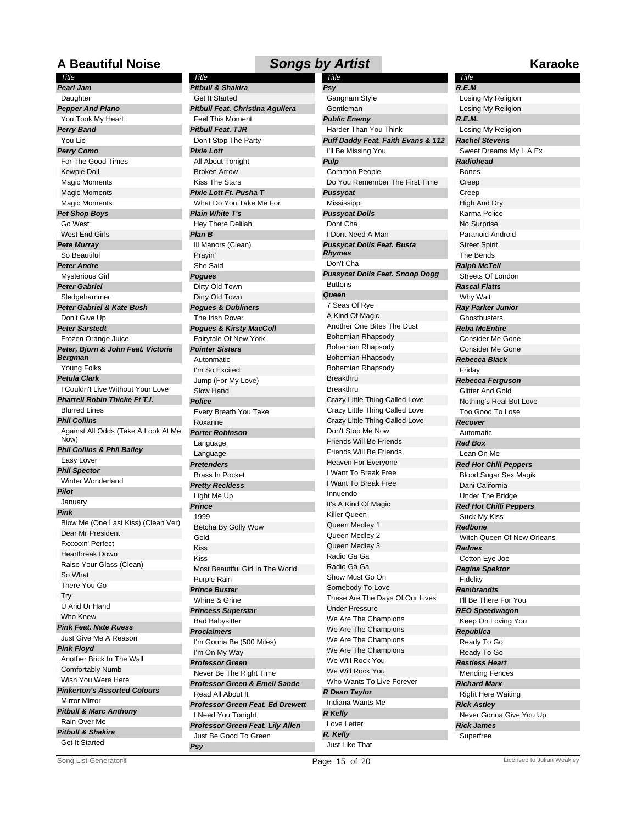## *Title Pearl Jam* **Daughter** *Pepper And Piano* You Took My Heart *Perry Band* You Lie *Perry Como* For The Good Times Kewpie Doll Magic Moments Magic Moments Magic Moments *Pet Shop Boys* Go West West End Girls *Pete Murray* So Beautiful *Peter Andre* Mysterious Girl *Peter Gabriel* Sledgehammer *Peter Gabriel & Kate Bush* Don't Give Up *Peter Sarstedt* Frozen Orange Juice *Peter, Bjorn & John Feat. Victoria Bergman* Young Folks *Petula Clark* I Couldn't Live Without Your Love *Pharrell Robin Thicke Ft T.I.* Blurred Lines *Phil Collins* Against All Odds (Take A Look At Me Now) *Phil Collins & Phil Bailey* Easy Lover *Phil Spector* Winter Wonderland *Pilot* January *Pink* Blow Me (One Last Kiss) (Clean Ver) Dear Mr President Fxxxxxn' Perfect Heartbreak Down Raise Your Glass (Clean) So What There You Go Try U And Ur Hand Who Knew *Pink Feat. Nate Ruess* Just Give Me A Reason *Pink Floyd* Another Brick In The Wall Comfortably Numb Wish You Were Here *Pinkerton's Assorted Colours* Mirror Mirror *Pitbull & Marc Anthony* Rain Over Me

Prayin' She Said

*Pogues*

*Plan B*

*Title*

Get It Started

*Pixie Lott*

Slow Hand

Autonmatic

Roxanne

*Police*

Language

Language *Pretenders*

Gold Kiss Kiss

*Psy*

*Prince* 1999

*Pitbull & Shakira* Get It Started

# *Pitbull & Shakira Pitbull Feat. Christina Aguilera* Feel This Moment *Title Psy*

Broken Arrow Kiss The Stars Dirty Old Town I'm So Excited Jump (For My Love) Betcha By Golly Wow Most Beautiful Girl In The World Purple Rain I'm On My Way *Pitbull Feat. TJR* Don't Stop The Party All About Tonight *Pixie Lott Ft. Pusha T* What Do You Take Me For *Plain White T's* Hey There Delilah Ill Manors (Clean) Dirty Old Town *Pogues & Dubliners* The Irish Rover *Pogues & Kirsty MacColl* Fairytale Of New York *Pointer Sisters* Every Breath You Take *Porter Robinson* Brass In Pocket *Pretty Reckless* Light Me Up *Prince Buster* Whine & Grine *Princess Superstar* Bad Babysitter *Proclaimers* I'm Gonna Be (500 Miles) *Professor Green* Never Be The Right Time *Professor Green & Emeli Sande* Read All About It *Professor Green Feat. Ed Drewett* I Need You Tonight *Professor Green Feat. Lily Allen* Just Be Good To Green *Pulp Queen R Kelly*

Gentleman Do You Remember The First Time I Dont Need A Man A Kind Of Magic Another One Bites The Dust Bohemian Rhapsody Bohemian Rhapsody Bohemian Rhapsody Bohemian Rhapsody Breakthru Breakthru Crazy Little Thing Called Love Crazy Little Thing Called Love Crazy Little Thing Called Love Don't Stop Me Now Friends Will Be Friends Friends Will Be Friends Heaven For Everyone I Want To Break Free I Want To Break Free Innuendo It's A Kind Of Magic Killer Queen Queen Medley 1 Queen Medley 2 Queen Medley 3 Radio Ga Ga Radio Ga Ga Show Must Go On Somebody To Love These Are The Days Of Our Lives Under Pressure We Are The Champions We Are The Champions We Are The Champions We Are The Champions We Will Rock You We Will Rock You Who Wants To Live Forever Gangnam Style *Public Enemy* Harder Than You Think *Puff Daddy Feat. Faith Evans & 112* I'll Be Missing You Common People *Pussycat* Mississippi *Pussycat Dolls* Dont Cha *Pussycat Dolls Feat. Busta Rhymes* Don't Cha *Pussycat Dolls Feat. Snoop Dogg* Buttons 7 Seas Of Rye *R Dean Taylor* Indiana Wants Me Love Letter *R. Kelly* Just Like That

## Losing My Religion Creep Creep High And Dry Karma Police No Surprise Paranoid Android Street Spirit The Bends Consider Me Gone Nothing's Real But Love Too Good To Lose Dani California Under The Bridge Ready To Go *R.E.M.* Losing My Religion *Rachel Stevens* Sweet Dreams My L A Ex *Radiohead* Bones *Ralph McTell* Streets Of London *Rascal Flatts* Why Wait *Ray Parker Junior* **Ghostbusters** *Reba McEntire* Consider Me Gone *Rebecca Black* Friday *Rebecca Ferguson* Glitter And Gold *Recover* Automatic *Red Box* Lean On Me *Red Hot Chili Peppers* Blood Sugar Sex Magik *Red Hot Chilli Peppers* Suck My Kiss *Redbone* Witch Queen Of New Orleans *Rednex* Cotton Eye Joe *Regina Spektor* Fidelity *Rembrandts* I'll Be There For You *REO Speedwagon* Keep On Loving You *Republica* Ready To Go *Restless Heart* Mending Fences *Richard Marx* Right Here Waiting

*Rick Astley* Never Gonna Give You Up *Rick James* Superfree

*Title R.E.M*

Losing My Religion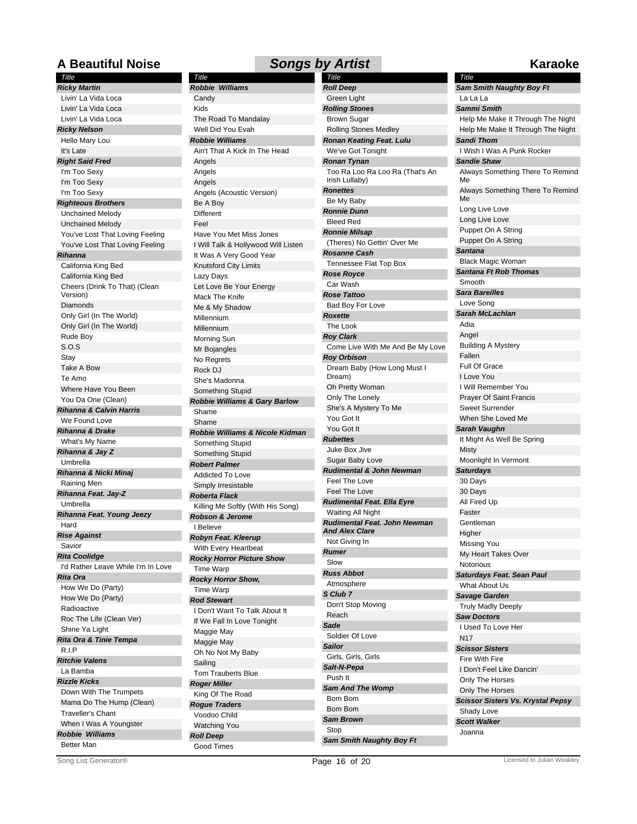Kids

*Title*

*Robbie Williams* **Candy** 

## *Title Ricky Martin* Livin' La Vida Loca Livin' La Vida Loca Livin' La Vida Loca *Ricky Nelson* Hello Mary Lou It's Late *Right Said Fred* I'm Too Sexy I'm Too Sexy I'm Too Sexy *Righteous Brothers* Unchained Melody Unchained Melody You've Lost That Loving Feeling You've Lost That Loving Feeling *Rihanna* California King Bed California King Bed Cheers (Drink To That) (Clean Version) Diamonds Only Girl (In The World) Only Girl (In The World) Rude Boy S.O.S **Stav** Take A Bow Te Amo Where Have You Been You Da One (Clean) *Rihanna & Calvin Harris* We Found Love *Rihanna & Drake* What's My Name *Rihanna & Jay Z* Umbrella *Rihanna & Nicki Minaj* Raining Men *Rihanna Feat. Jay-Z* Umbrella *Rihanna Feat. Young Jeezy* **Hard** *Rise Against* Savior *Rita Coolidge* I'd Rather Leave While I'm In Love *Rita Ora* How We Do (Party) How We Do (Party) Radioactive Roc The Life (Clean Ver) Shine Ya Light *Rita Ora & Tinie Tempa* R.I.P *Ritchie Valens* La Bamba *Rizzle Kicks* Down With The Trumpets Mama Do The Hump (Clean) Traveller's Chant

The Road To Mandalay Well Did You Evah Angels Angels Angels Angels (Acoustic Version) Be A Boy Different Feel Have You Met Miss Jones I Will Talk & Hollywood Will Listen It Was A Very Good Year Knutsford City Limits Lazy Days Let Love Be Your Energy Mack The Knife Me & My Shadow Millennium Millennium Morning Sun Mr Bojangles No Regrets Rock DJ She's Madonna Something Stupid Shame Something Stupid Simply Irresistable If We Fall In Love Tonight Maggie May Maggie May Oh No Not My Baby Sailing Tom Trauberts Blue Watching You *Robbie Williams* Ain't That A Kick In The Head *Robbie Williams & Gary Barlow* Shame *Robbie Williams & Nicole Kidman* Something Stupid *Robert Palmer* Addicted To Love *Roberta Flack* Killing Me Softly (With His Song) *Robson & Jerome* I Believe *Robyn Feat. Kleerup* With Every Heartbeat *Rocky Horror Picture Show* Time Warp *Rocky Horror Show,* Time Warp *Rod Stewart* I Don't Want To Talk About It *Roger Miller* King Of The Road *Rogue Traders* Voodoo Child *Roll Deep* Good Times **Page 16 of 20** List Generator® 20 Licensed to Julian Weakley

## Rolling Stones Medley Oh Pretty Woman Only The Lonely She's A Mystery To Me You Got It You Got It Sugar Baby Love Feel The Love Reach Bom Bom *Title Roll Deep* Green Light *Rolling Stones* Brown Sugar *Ronan Keating Feat. Lulu* We've Got Tonight *Ronan Tynan* Too Ra Loo Ra Loo Ra (That's An Irish Lullaby) *Ronettes* Be My Baby *Ronnie Dunn* Bleed Red *Ronnie Milsap* (Theres) No Gettin' Over Me *Rosanne Cash* Tennessee Flat Top Box *Rose Royce* Car Wash *Rose Tattoo* Bad Boy For Love *Roxette* The Look *Roy Clark* Come Live With Me And Be My Love *Roy Orbison* Dream Baby (How Long Must I Dream) *Rubettes* Juke Box Jive *Rudimental & John Newman* Feel The Love *Rudimental Feat. Ella Eyre* Waiting All Night *Rudimental Feat. John Newman And Alex Clare* Not Giving In *Rumer* Slow *Russ Abbot* Atmosphere *S Club 7* Don't Stop Moving *Sade* Soldier Of Love *Sailor* Girls, Girls, Girls *Salt-N-Pepa* Push It *Sam And The Womp* Bom Bom *Sam Brown* Stop *Sam Smith Naughty Boy Ft*

Help Me Make It Through The Night Always Something There To Remind Me Long Live Love Long Live Love Puppet On A String Puppet On A String Angel Building A Mystery Fallen Full Of Grace I Love You I Will Remember You Prayer Of Saint Francis Sweet Surrender When She Loved Me Misty Moonlight In Vermont 30 Days All Fired Up Faster Gentleman Higher Missing You My Heart Takes Over Notorious N17 I Don't Feel Like Dancin' Only The Horses Only The Horses *Title Sam Smith Naughty Boy Ft* La La La *Sammi Smith* Help Me Make It Through The Night *Sandi Thom* I Wish I Was A Punk Rocker *Sandie Shaw* Always Something There To Remind Me *Santana* Black Magic Woman *Santana Ft Rob Thomas* Smooth *Sara Bareilles* Love Song *Sarah McLachlan* Adia *Sarah Vaughn* It Might As Well Be Spring *Saturdays* 30 Days *Saturdays Feat. Sean Paul* What About Us *Savage Garden* Truly Madly Deeply *Saw Doctors* I Used To Love Her *Scissor Sisters* Fire With Fire *Scissor Sisters Vs. Krystal Pepsy* Shady Love *Scott Walker* Joanna

When I Was A Youngster *Robbie Williams* Better Man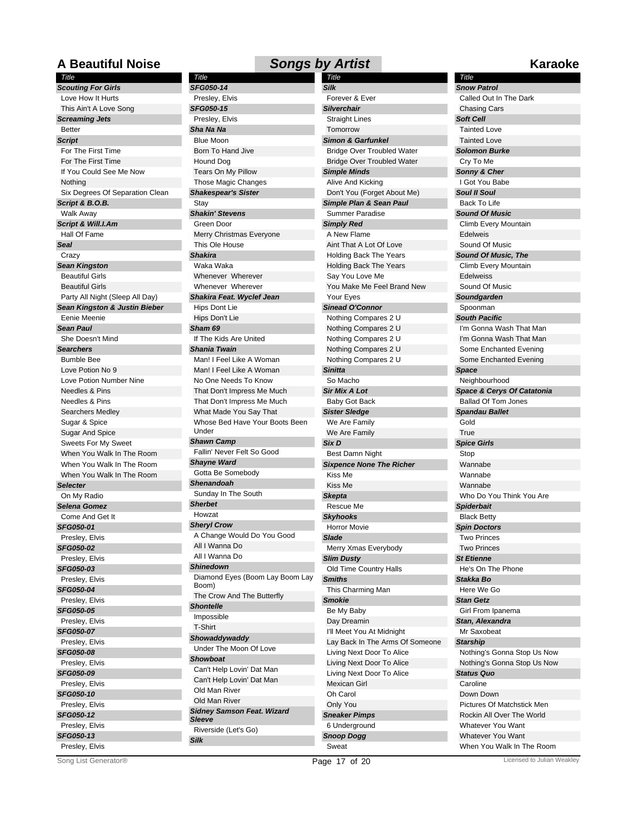## *Title Scouting For Girls* Love How It Hurts This Ain't A Love Song *Screaming Jets* Better *Script* For The First Time For The First Time If You Could See Me Now Nothing Six Degrees Of Separation Clean *Script & B.O.B.* Walk Away *Script & Will.I.Am* Hall Of Fame *Seal* Crazy *Sean Kingston* Beautiful Girls Beautiful Girls Party All Night (Sleep All Day) *Sean Kingston & Justin Bieber* Eenie Meenie *Sean Paul* She Doesn't Mind *Searchers* Bumble Bee Love Potion No 9 Love Potion Number Nine Needles & Pins Needles & Pins Searchers Medley Sugar & Spice Sugar And Spice Sweets For My Sweet When You Walk In The Room When You Walk In The Room When You Walk In The Room *Selecter* On My Radio *Selena Gomez* Come And Get It *SFG050-01* Presley, Elvis *SFG050-02* Presley, Elvis *SFG050-03* Presley, Elvis *SFG050-04* Presley, Elvis *SFG050-05* Presley, Elvis *SFG050-07* Presley, Elvis *SFG050-08* Presley, Elvis *SFG050-09* Presley, Elvis *SFG050-10* Presley, Elvis *SFG050-12* Presley, Elvis *SFG050-13* Presley, Elvis

| Title                                                    |  |
|----------------------------------------------------------|--|
| SFG050-14                                                |  |
| Presley, Elvis                                           |  |
| SFG050-15                                                |  |
| Presley, Elvis                                           |  |
| Sha Na Na                                                |  |
| <b>Blue Moon</b>                                         |  |
| Born To Hand Jive                                        |  |
| Hound Dog                                                |  |
| Tears On My Pillow                                       |  |
| Those Magic Changes                                      |  |
| <b>Shakespear's Sister</b>                               |  |
| Stay                                                     |  |
| <b>Shakin' Stevens</b>                                   |  |
| Green Door                                               |  |
| Merry Christmas Everyone                                 |  |
| This Ole House                                           |  |
| <b>Shakira</b>                                           |  |
| Waka Waka                                                |  |
| Whenever Wherever                                        |  |
| Whenever Wherever                                        |  |
| Shakira Feat. Wyclef Jean                                |  |
| Hips Dont Lie                                            |  |
| Hips Don't Lie                                           |  |
| Sham 69                                                  |  |
| If The Kids Are United                                   |  |
| <b>Shania Twain</b>                                      |  |
| Man! I Feel Like A Woman<br>Man! I Feel Like A Woman     |  |
|                                                          |  |
| No One Needs To Know                                     |  |
| That Don't Impress Me Much                               |  |
| That Don't Impress Me Much                               |  |
| What Made You Say That<br>Whose Bed Have Your Boots Been |  |
| Under                                                    |  |
| <b>Shawn Camp</b>                                        |  |
| Fallin' Never Felt So Good                               |  |
| <b>Shayne Ward</b>                                       |  |
| Gotta Be Somebody                                        |  |
| <b>Shenandoah</b>                                        |  |
| Sunday In The South                                      |  |
| <b>Sherbet</b>                                           |  |
| Howzat                                                   |  |
| <b>Sheryl Crow</b>                                       |  |
| A Change Would Do You Good                               |  |
| All I Wanna Do                                           |  |
| All I Wanna Do                                           |  |
| <b>Shinedown</b>                                         |  |
| Diamond Eyes (Boom Lay Boom Lay                          |  |
| Boom)                                                    |  |
| The Crow And The Butterfly                               |  |
| <b>Shontelle</b>                                         |  |
| Impossible                                               |  |
| T-Shirt                                                  |  |
| Showaddywaddy                                            |  |
| Under The Moon Of Love                                   |  |
| <b>Showboat</b>                                          |  |
| Can't Help Lovin' Dat Man                                |  |
| Can't Help Lovin' Dat Man                                |  |
| Old Man River                                            |  |
| Old Man River                                            |  |
| Sidney Samson Feat. Wizard<br>Sleeve                     |  |
| Riverside (Let's Go)                                     |  |
| <b>Silk</b>                                              |  |
|                                                          |  |

## Tomorrow Bridge Over Troubled Water Don't You (Forget About Me) Aint That A Lot Of Love Holding Back The Years Holding Back The Years Say You Love Me You Make Me Feel Brand New Your Eyes Nothing Compares 2 U Nothing Compares 2 U Nothing Compares 2 U Nothing Compares 2 U We Are Family Kiss Me Day Dreamin I'll Meet You At Midnight Lay Back In The Arms Of Someone Living Next Door To Alice Living Next Door To Alice Living Next Door To Alice Mexican Girl Oh Carol Only You *Title Silk* Forever & Ever *Silverchair* Straight Lines *Simon & Garfunkel* Bridge Over Troubled Water *Simple Minds* Alive And Kicking *Simple Plan & Sean Paul* Summer Paradise *Simply Red* A New Flame *Sinead O'Connor* Nothing Compares 2 U *Sinitta* So Macho *Sir Mix A Lot* Baby Got Back *Sister Sledge* We Are Family *Six D* Best Damn Night *Sixpence None The Richer* Kiss Me *Skepta* Rescue Me *Skyhooks* Horror Movie *Slade* Merry Xmas Everybody *Slim Dusty* Old Time Country Halls *Smiths* This Charming Man *Smokie* Be My Baby *Sneaker Pimps* 6 Underground *Snoop Dogg* Sweat

| Title                   |                                   |
|-------------------------|-----------------------------------|
| <b>Snow Patrol</b>      |                                   |
|                         | Called Out In The Dark            |
| <b>Chasing Cars</b>     |                                   |
| <b>Soft Cell</b>        |                                   |
| <b>Tainted Love</b>     |                                   |
| <b>Tainted Love</b>     |                                   |
| <b>Solomon Burke</b>    |                                   |
| Cry To Me               |                                   |
|                         |                                   |
| <b>Sonny &amp; Cher</b> |                                   |
| I Got You Babe          |                                   |
| Soul II Soul            |                                   |
| <b>Back To Life</b>     |                                   |
| <b>Sound Of Music</b>   |                                   |
|                         | Climb Every Mountain              |
| Edelweis                |                                   |
| Sound Of Music          |                                   |
|                         | <b>Sound Of Music, The</b>        |
|                         | Climb Every Mountain              |
| <b>Edelweiss</b>        |                                   |
| Sound Of Music          |                                   |
| Soundgarden             |                                   |
| Spoonman                |                                   |
| <b>South Pacific</b>    |                                   |
|                         | I'm Gonna Wash That Man           |
|                         | I'm Gonna Wash That Man           |
|                         | Some Enchanted Evening            |
|                         | Some Enchanted Evening            |
|                         |                                   |
| Space                   |                                   |
| Neighbourhood           |                                   |
|                         | Space & Cerys Of Catatonia        |
|                         | <b>Ballad Of Tom Jones</b>        |
| <b>Spandau Ballet</b>   |                                   |
| Gold                    |                                   |
| True                    |                                   |
| <b>Spice Girls</b>      |                                   |
| Stop                    |                                   |
| Wannabe                 |                                   |
| Wannabe                 |                                   |
| Wannabe                 |                                   |
|                         | Who Do You Think You Are          |
| <b>Spiderbait</b>       |                                   |
| <b>Black Betty</b>      |                                   |
| <b>Spin Doctors</b>     |                                   |
| Two Princes             |                                   |
| <b>Two Princes</b>      |                                   |
| <b>St Etienne</b>       |                                   |
|                         | He's On The Phone                 |
| Stakka Bo               |                                   |
| Here We Go              |                                   |
|                         |                                   |
| <b>Stan Getz</b>        |                                   |
| Girl From Ipanema       |                                   |
| Stan, Alexandra         |                                   |
| Mr Saxobeat             |                                   |
| <b>Starship</b>         |                                   |
|                         | Nothing's Gonna Stop Us Now       |
|                         | Nothing's Gonna Stop Us Now       |
| <b>Status Quo</b>       |                                   |
| Caroline                |                                   |
| Down Down               |                                   |
|                         | <b>Pictures Of Matchstick Men</b> |
|                         | Rockin All Over The World         |
|                         | <b>Whatever You Want</b>          |
|                         | Whatever You Want                 |
|                         | When You Walk In The Room         |
|                         |                                   |

**Page 17 of 20** Licensed to Julian Weakley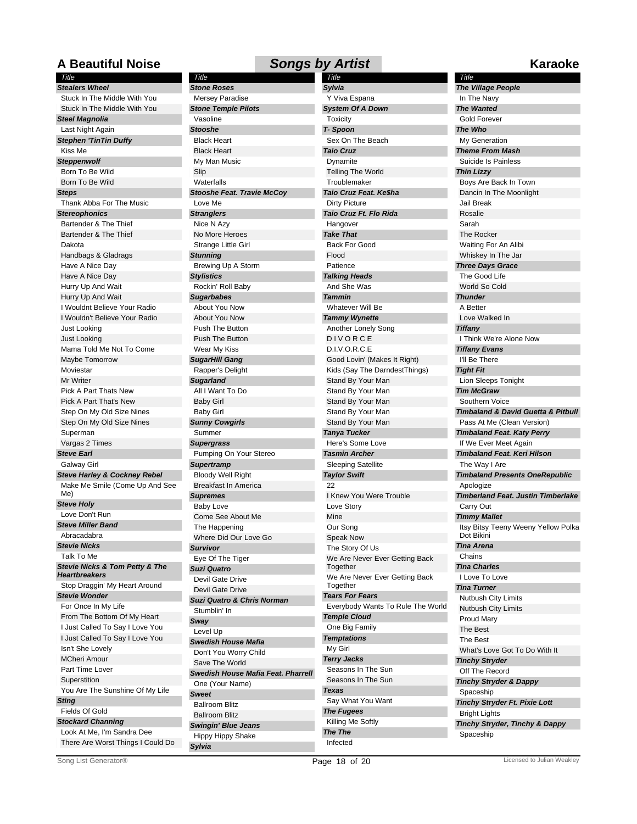## *Title Stealers Wheel* Stuck In The Middle With You Stuck In The Middle With You *Steel Magnolia* Last Night Again *Stephen 'TinTin Duffy* Kiss Me *Steppenwolf* Born To Be Wild Born To Be Wild *Steps* Thank Abba For The Music *Stereophonics* Bartender & The Thief Bartender & The Thief Dakota Handbags & Gladrags Have A Nice Day Have A Nice Day Hurry Up And Wait Hurry Up And Wait I Wouldnt Believe Your Radio I Wouldn't Believe Your Radio Just Looking Just Looking Mama Told Me Not To Come Maybe Tomorrow Moviestar Mr Writer Pick A Part Thats New Pick A Part That's New Step On My Old Size Nines Step On My Old Size Nines Superman Vargas 2 Times *Steve Earl* Galway Girl *Steve Harley & Cockney Rebel* Make Me Smile (Come Up And See Me) *Steve Holy* Love Don't Run *Steve Miller Band* Abracadabra *Stevie Nicks* Talk To Me *Stevie Nicks & Tom Petty & The Heartbreakers* Stop Draggin' My Heart Around *Stevie Wonder* For Once In My Life From The Bottom Of My Heart I Just Called To Say I Love You I Just Called To Say I Love You Isn't She Lovely MCheri Amour Part Time Lover **Superstition** You Are The Sunshine Of My Life *Sting* Fields Of Gold *Stockard Channing* Look At Me, I'm Sandra Dee There Are Worst Things I Could Do

*Sylvia*

| ၁ပၢys ပ <sub>ု</sub>                      |                          |
|-------------------------------------------|--------------------------|
| Title                                     |                          |
| <b>Stone Roses</b>                        | J.                       |
| <b>Mersey Paradise</b>                    |                          |
| <b>Stone Temple Pilots</b><br>Vasoline    | ł,                       |
| <b>Stooshe</b>                            | $\overline{a}$           |
| <b>Black Heart</b>                        |                          |
| <b>Black Heart</b>                        | $\overline{\phantom{a}}$ |
| My Man Music                              |                          |
| Slip                                      |                          |
| Waterfalls                                |                          |
| <b>Stooshe Feat. Travie McCoy</b>         | $\overline{\phantom{a}}$ |
| Love Me                                   |                          |
| <b>Stranglers</b>                         |                          |
| Nice N Azy                                |                          |
| No More Heroes                            | $\overline{a}$           |
| Strange Little Girl                       |                          |
| <b>Stunning</b>                           |                          |
| Brewing Up A Storm                        |                          |
| <b>Stylistics</b>                         | $\overline{\phantom{a}}$ |
| Rockin' Roll Baby                         |                          |
| <b>Sugarbabes</b>                         |                          |
| About You Now                             |                          |
| <b>About You Now</b>                      |                          |
| Push The Button                           |                          |
| Push The Button                           |                          |
| Wear My Kiss                              |                          |
| <b>SugarHill Gang</b><br>Rapper's Delight |                          |
| <b>Sugarland</b>                          |                          |
| All I Want To Do                          |                          |
| <b>Baby Girl</b>                          |                          |
| <b>Baby Girl</b>                          |                          |
| <b>Sunny Cowgirls</b>                     |                          |
| Summer                                    | $\overline{a}$           |
| Supergrass                                |                          |
| Pumping On Your Stereo                    |                          |
| <b>Supertramp</b>                         |                          |
| <b>Bloody Well Right</b>                  | $\overline{a}$           |
| <b>Breakfast In America</b>               |                          |
| <b>Supremes</b>                           |                          |
| <b>Baby Love</b>                          |                          |
| Come See About Me                         |                          |
| The Happening                             |                          |
| Where Did Our Love Go                     |                          |
| <b>Survivor</b>                           |                          |
| Eye Of The Tiger<br>Suzi Quatro           |                          |
| Devil Gate Drive                          |                          |
| <b>Devil Gate Drive</b>                   |                          |
| <b>Suzi Quatro &amp; Chris Norman</b>     |                          |
| Stumblin' In                              |                          |
| Sway                                      |                          |
| Level Up                                  |                          |
| <b>Swedish House Mafia</b>                |                          |
| Don't You Worry Child                     |                          |
| Save The World                            |                          |
| Swedish House Mafia Feat. Pharrell        |                          |
| One (Your Name)                           |                          |
| <b>Sweet</b>                              |                          |
| <b>Ballroom Blitz</b>                     |                          |
| <b>Ballroom Blitz</b>                     |                          |
| Swingin' Blue Jeans                       |                          |
| Hippy Hippy Shake                         |                          |

## Telling The World Troublemaker Flood Patience D I V O R C E D.I.V.O.R.C.E Good Lovin' (Makes It Right) Kids (Say The DarndestThings) Stand By Your Man Stand By Your Man Stand By Your Man Stand By Your Man Stand By Your Man I Knew You Were Trouble Love Story Mine Our Song Speak Now The Story Of Us We Are Never Ever Getting Back Together We Are Never Ever Getting Back **Together** Seasons In The Sun *Title Sylvia* Y Viva Espana *System Of A Down* Toxicity *T- Spoon* Sex On The Beach *Taio Cruz* Dynamite *Taio Cruz Feat. Ke\$ha* Dirty Picture *Taio Cruz Ft. Flo Rida* Hangover *Take That* Back For Good *Talking Heads* And She Was *Tammin* Whatever Will Be *Tammy Wynette* Another Lonely Song *Tanya Tucker* Here's Some Love *Tasmin Archer* Sleeping Satellite *Taylor Swift*  $22$ *Tears For Fears* Everybody Wants To Rule The World *Temple Cloud* One Big Family *Temptations* My Girl *Terry Jacks* Seasons In The Sun *Texas* Say What You Want *The Fugees* Killing Me Softly *The The* Infected

| Title                                                    |
|----------------------------------------------------------|
| <b>The Village People</b>                                |
| In The Navy                                              |
| <b>The Wanted</b>                                        |
| <b>Gold Forever</b>                                      |
| The Who                                                  |
| My Generation                                            |
| <b>Theme From Mash</b>                                   |
| Suicide Is Painless                                      |
| <b>Thin Lizzy</b>                                        |
| Boys Are Back In Town                                    |
| Dancin In The Moonlight                                  |
| Jail Break                                               |
| Rosalie                                                  |
| Sarah                                                    |
| <b>The Rocker</b>                                        |
| Waiting For An Alibi                                     |
| Whiskey In The Jar                                       |
| <b>Three Days Grace</b>                                  |
| The Good Life                                            |
| World So Cold                                            |
| <b>Thunder</b>                                           |
| A Better                                                 |
| Love Walked In                                           |
| <b>Tiffany</b>                                           |
| I Think We're Alone Now                                  |
| <b>Tiffany Evans</b>                                     |
| I'll Be There                                            |
| <b>Tight Fit</b>                                         |
| Lion Sleeps Tonight                                      |
| <b>Tim McGraw</b>                                        |
| Southern Voice                                           |
| Timbaland & David Guetta & Pitbull                       |
| Pass At Me (Clean Version)<br>Timbaland Feat. Katy Perry |
| If We Ever Meet Again                                    |
| Timbaland Feat. Keri Hilson                              |
| The Way I Are                                            |
| <b>Timbaland Presents OneRepublic</b>                    |
| Apologize                                                |
| <b>Timberland Feat. Justin Timberlake</b>                |
| Carry Out                                                |
| <b>Timmy Mallet</b>                                      |
|                                                          |
| Itsy Bitsy Teeny Weeny Yellow Polka<br>Dot Bikini        |
| Tina Arena                                               |
| Chains                                                   |
| <b>Tina Charles</b>                                      |
| I Love To Love                                           |
| <b>Tina Turner</b>                                       |
| Nutbush City Limits                                      |
| Nutbush City Limits                                      |
| Proud Mary                                               |
| The Best                                                 |
| The Best                                                 |
| What's Love Got To Do With It                            |
| <b>Tinchy Stryder</b>                                    |
| Off The Record                                           |
|                                                          |
|                                                          |
| <b>Tinchy Stryder &amp; Dappy</b>                        |
| Spaceship                                                |
| <b>Tinchy Stryder Ft. Pixie Lott</b>                     |
| Bright Lights<br>Tinchy Stryder, Tinchy & Dappy          |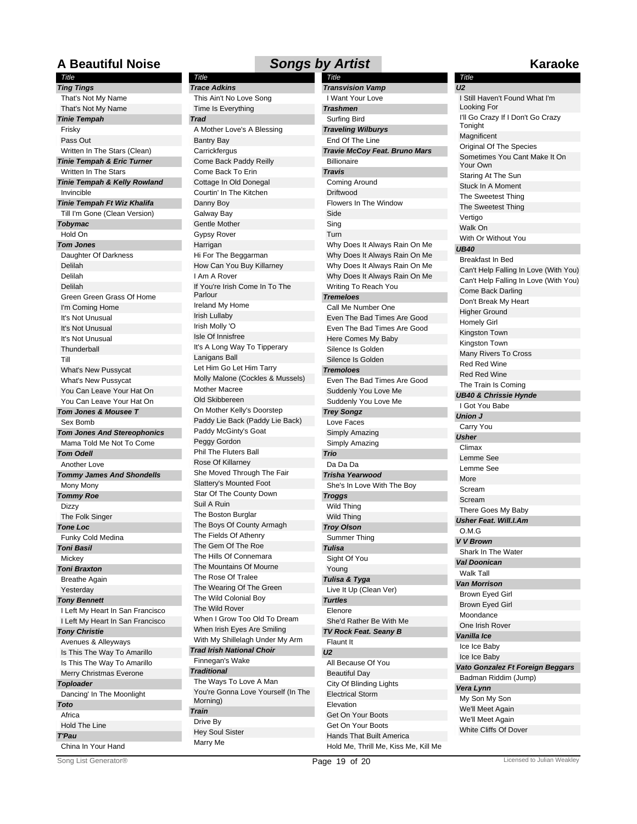## *Title Ting Tings* That's Not My Name That's Not My Name

*Tinie Tempah* Frisky Pass Out Written In The Stars (Clean) *Tinie Tempah & Eric Turner* Written In The Stars *Tinie Tempah & Kelly Rowland* Invincible *Tinie Tempah Ft Wiz Khalifa* Till I'm Gone (Clean Version) *Tobymac* Hold On *Tom Jones* Daughter Of Darkness Delilah Delilah Delilah Green Green Grass Of Home I'm Coming Home It's Not Unusual It's Not Unusual It's Not Unusual **Thunderball** Till What's New Pussycat What's New Pussycat You Can Leave Your Hat On You Can Leave Your Hat On *Tom Jones & Mousee T* Sex Bomb *Tom Jones And Stereophonics* Mama Told Me Not To Come *Tom Odell* Another Love *Tommy James And Shondells* Mony Mony *Tommy Roe* **Dizzy** The Folk Singer *Tone Loc* Funky Cold Medina *Toni Basil* **Mickey** *Toni Braxton* Breathe Again Yesterday *Tony Bennett* I Left My Heart In San Francisco I Left My Heart In San Francisco *Tony Christie* Avenues & Alleyways Is This The Way To Amarillo Is This The Way To Amarillo Merry Christmas Everone *Toploader* Dancing' In The Moonlight *Toto* Africa Hold The Line

## Time Is Everything Bantry Bay **Carrickfergus** Come Back Paddy Reilly Come Back To Erin Cottage In Old Donegal Courtin' In The Kitchen Danny Boy Galway Bay Gentle Mother Gypsy Rover Harrigan Hi For The Beggarman How Can You Buy Killarney I Am A Rover If You're Irish Come In To The Parlour Ireland My Home Irish Lullaby Irish Molly 'O Isle Of Innisfree It's A Long Way To Tipperary Lanigans Ball Let Him Go Let Him Tarry Molly Malone (Cockles & Mussels) Mother Macree Old Skibbereen On Mother Kelly's Doorstep Paddy Lie Back (Paddy Lie Back) Paddy McGinty's Goat Peggy Gordon Phil The Fluters Ball Rose Of Killarney She Moved Through The Fair Slattery's Mounted Foot Star Of The County Down Suil A Ruin The Boston Burglar The Boys Of County Armagh The Fields Of Athenry The Gem Of The Roe The Hills Of Connemara The Mountains Of Mourne The Rose Of Tralee The Wearing Of The Green The Wild Colonial Boy The Wild Rover When I Grow Too Old To Dream When Irish Eyes Are Smiling With My Shillelagh Under My Arm You're Gonna Love Yourself (In The Morning) Hey Soul Sister Marry Me *Title Trace Adkins* This Ain't No Love Song *Trad* A Mother Love's A Blessing *Trad Irish National Choir* Finnegan's Wake *Traditional* The Ways To Love A Man *Train* Drive By

## Driftwood Flowers In The Window Side Sing Turn Why Does It Always Rain On Me Why Does It Always Rain On Me Why Does It Always Rain On Me Why Does It Always Rain On Me Writing To Reach You Even The Bad Times Are Good Even The Bad Times Are Good Here Comes My Baby Silence Is Golden Silence Is Golden Suddenly You Love Me Suddenly You Love Me Simply Amazing Simply Amazing Wild Thing Young She'd Rather Be With Me Beautiful Day City Of Blinding Lights Electrical Storm Elevation Get On Your Boots Get On Your Boots Hands That Built America Hold Me, Thrill Me, Kiss Me, Kill Me *Title Transvision Vamp* I Want Your Love *Trashmen* Surfing Bird *Traveling Wilburys* End Of The Line *Travie McCoy Feat. Bruno Mars* Billionaire *Travis* Coming Around *Tremeloes* Call Me Number One *Tremoloes* Even The Bad Times Are Good *Trey Songz* Love Faces *Trio* Da Da Da *Trisha Yearwood* She's In Love With The Boy *Troggs* Wild Thing *Troy Olson* Summer Thing *Tulisa* Sight Of You *Tulisa & Tyga* Live It Up (Clean Ver) *Turtles* Elenore *TV Rock Feat. Seany B* Flaunt It *U2* All Because Of You

I'll Go Crazy If I Don't Go Crazy Tonight Magnificent Original Of The Species Sometimes You Cant Make It On Your Own Staring At The Sun Stuck In A Moment The Sweetest Thing The Sweetest Thing Vertigo Walk On With Or Without You Can't Help Falling In Love (With You) Can't Help Falling In Love (With You) Come Back Darling Don't Break My Heart Higher Ground Homely Girl Kingston Town Kingston Town Many Rivers To Cross Red Red Wine Red Red Wine The Train Is Coming Lemme See Lemme See More Scream Scream There Goes My Baby Brown Eyed Girl Moondance One Irish Rover Ice Ice Baby We'll Meet Again We'll Meet Again White Cliffs Of Dover *Title U2* I Still Haven't Found What I'm Looking For *UB40* Breakfast In Bed *UB40 & Chrissie Hynde* I Got You Babe *Union J* Carry You *Usher* Climax *Usher Feat. Will.I.Am* O.M.G *V V Brown* Shark In The Water *Val Doonican* Walk Tall *Van Morrison* Brown Eyed Girl *Vanilla Ice* Ice Ice Baby *Vato Gonzalez Ft Foreign Beggars* Badman Riddim (Jump) *Vera Lynn* My Son My Son

China In Your Hand

*T'Pau*